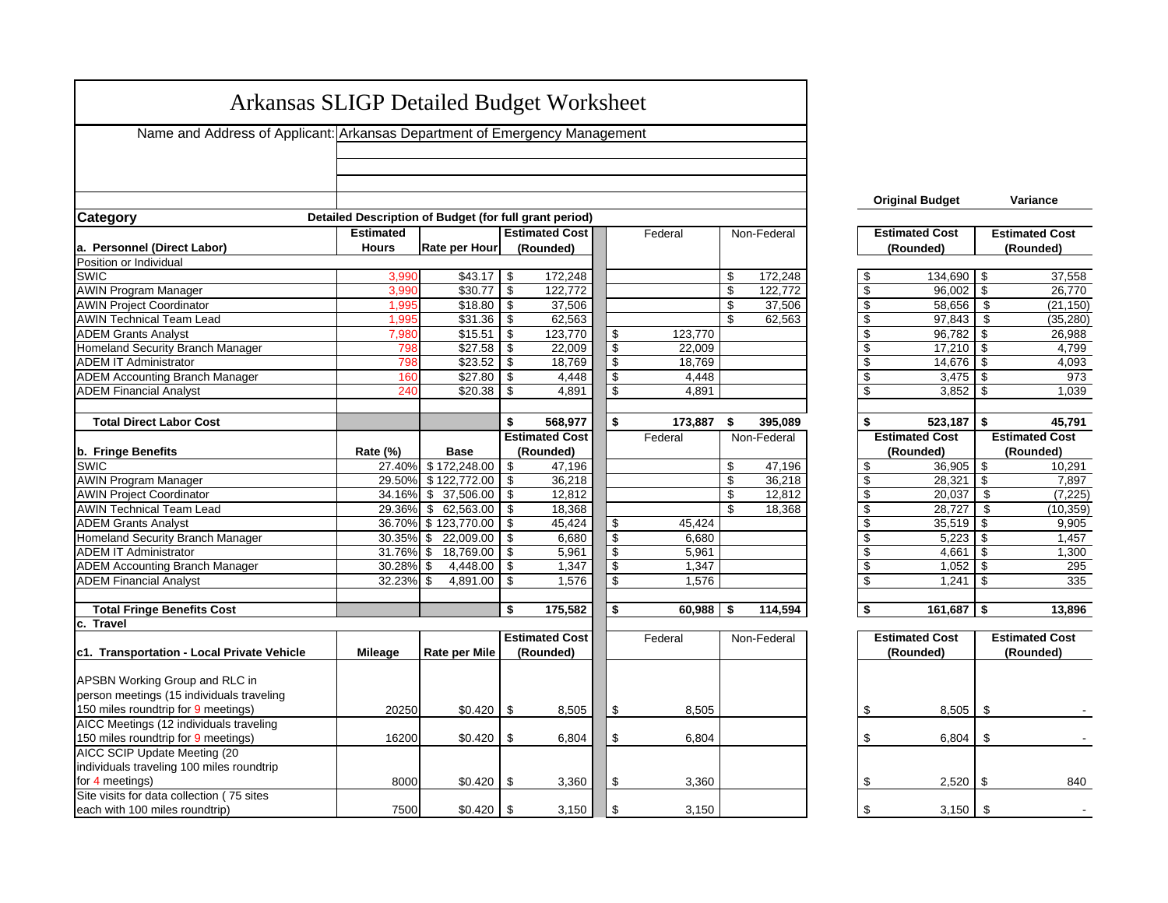| <b>Arkansas SLIGP Detailed Budget Worksheet</b>                                                                                                             |              |                                         |
|-------------------------------------------------------------------------------------------------------------------------------------------------------------|--------------|-----------------------------------------|
| Name and Address of Applicant: Arkansas Department of Emergency Management                                                                                  |              |                                         |
|                                                                                                                                                             |              |                                         |
|                                                                                                                                                             |              |                                         |
| <b>Original Budget</b>                                                                                                                                      |              | Variance                                |
| Detailed Description of Budget (for full grant period)<br><b>Category</b>                                                                                   |              |                                         |
| <b>Estimated</b><br><b>Estimated Cost</b><br>Non-Federal<br><b>Estimated Cost</b><br>Federal                                                                |              | <b>Estimated Cost</b>                   |
| a. Personnel (Direct Labor)<br><b>Hours</b><br>Rate per Hour<br>(Rounded)<br>(Rounded)                                                                      |              | (Rounded)                               |
| Position or Individual                                                                                                                                      |              |                                         |
| SWIC<br>3,990<br>$$43.17$ \ \$<br>172,248<br>\$<br>172,248<br>\$                                                                                            | 134,690 \$   | 37,558                                  |
| <b>AWIN Program Manager</b><br>\$<br>122,772<br>\$<br>\$30.77<br>\$<br>122,772<br>3,990                                                                     | $96,002$ \$  | 26,770                                  |
| 37,506<br><b>AWIN Project Coordinator</b><br>\$18.80<br>37,506<br>\$<br>\$<br>1,995<br>\$                                                                   | 58,656       | (21, 150)<br>\$                         |
| <b>AWIN Technical Team Lead</b><br>\$31.36<br>\$<br>\$<br>1,995<br>\$<br>62,563<br>62,563                                                                   | 97,843       | \$<br>(35, 280)                         |
| $\overline{\boldsymbol{\theta}}$<br>7,980<br>\$15.51<br>\$<br>123,770<br>\$<br>123,770<br><b>ADEM Grants Analyst</b>                                        | 96.782       | \$<br>26,988                            |
| $\overline{\mathcal{S}}$<br>$\overline{\boldsymbol{\theta}}$<br>Homeland Security Branch Manager<br>\$27.58<br>\$<br>22,009<br>798<br>22,009                | 17,210       | -\$<br>4,799                            |
| $\sqrt{2}$<br>\$23.52<br>18,769<br>\$<br><b>ADEM IT Administrator</b><br>798<br>\$<br>18,769                                                                | 14,676       | 4,093<br>-\$                            |
| $\overline{\mathcal{S}}$<br>\$27.80<br>$\overline{\boldsymbol{\theta}}$<br><b>ADEM Accounting Branch Manager</b><br>16 <sub>C</sub><br>\$<br>4,448<br>4,448 | 3,475        | -\$<br>973                              |
| $\overline{\mathcal{S}}$<br><b>ADEM Financial Analyst</b><br>240<br>4,891<br>4,891<br>\$                                                                    |              | 1,039                                   |
| \$<br>\$<br>\$<br><b>Total Direct Labor Cost</b><br>568,977<br>173,887<br>395,089<br>\$                                                                     | 523,187      | \$<br>45,791                            |
| <b>Estimated Cost</b><br><b>Estimated Cost</b><br>Federal<br>Non-Federal                                                                                    |              | <b>Estimated Cost</b>                   |
| b. Fringe Benefits<br>Rate (%)<br><b>Base</b><br>(Rounded)<br>(Rounded)                                                                                     |              | (Rounded)                               |
| <b>SWIC</b><br>27.40% \$172,248.00<br>\$<br>\$<br>47,196<br>\$<br>47,196                                                                                    | $36,905$ \$  | 10,291                                  |
| <b>AWIN Program Manager</b><br>\$<br>36,218<br>\$<br>36,218<br>\$<br>29.50%<br>\$122,772.00                                                                 | 28,321       | \$<br>7,897                             |
| $\overline{\$}$<br><b>AWIN Project Coordinator</b><br>\$37,506.00<br>12,812<br>12,812<br>34.16%<br>\$<br>\$                                                 | 20,037       | (7, 225)<br>\$                          |
| <b>AWIN Technical Team Lead</b><br>\$62,563.00<br>\$<br>29.36%<br>\$<br>18,368<br>\$<br>18,368                                                              | 28,727       | \$<br>(10, 359)                         |
| $\overline{\mathcal{L}}$<br><b>ADEM Grants Analyst</b><br>36.70% \$123,770.00<br>\$<br>45,424<br>\$<br>45,424                                               | 35,519       | -\$<br>9,905                            |
| $\overline{\$}$<br>$\overline{\mathbf{s}}$<br>Homeland Security Branch Manager<br>30.35% \$22,009.00<br>\$<br>6,680<br>6,680                                | 5,223        | -\$<br>1,457                            |
| $\sqrt[6]{\frac{1}{2}}$<br>31.76% \$<br>18,769.00<br>\$<br><b>ADEM IT Administrator</b><br>\$<br>5,961<br>5,961                                             |              |                                         |
|                                                                                                                                                             | 4,661        | \$<br>1,300                             |
| $\sqrt[6]{\frac{1}{2}}$<br><b>ADEM Accounting Branch Manager</b><br>$\overline{\mathcal{S}}$<br>$30.28\%$ \$<br>4,448.00<br>\$<br>1,347<br>1,347            | 1,052        | $\overline{\boldsymbol{\theta}}$<br>295 |
| $\overline{\mathcal{S}}$<br><b>ADEM Financial Analyst</b><br>32.23% \$<br>4,891.00<br>\$<br>1,576<br>1,576<br>\$                                            | 1,241        | -\$<br>335                              |
| <b>Total Fringe Benefits Cost</b><br>\$<br>175,582<br>\$<br>60.988<br>114,594<br>\$<br>\$                                                                   | 161.687      | 13.896<br>\$                            |
| c.<br>Travel                                                                                                                                                |              |                                         |
| <b>Estimated Cost</b><br><b>Estimated Cost</b><br>Non-Federal<br>Federal                                                                                    |              | <b>Estimated Cost</b>                   |
| c1. Transportation - Local Private Vehicle<br><b>Mileage</b><br><b>Rate per Mile</b><br>(Rounded)<br>(Rounded)                                              |              | (Rounded)                               |
|                                                                                                                                                             |              |                                         |
| <b>APSBN Working Group and RLC in</b>                                                                                                                       |              |                                         |
| person meetings (15 individuals traveling                                                                                                                   |              |                                         |
| 150 miles roundtrip for 9 meetings)<br>20250<br>\$0.420<br>\$<br>\$<br>8,505<br>\$<br>8,505                                                                 | 8,505        | \$                                      |
| AICC Meetings (12 individuals traveling                                                                                                                     |              |                                         |
| \$<br>150 miles roundtrip for 9 meetings)<br>\$<br>\$<br>16200<br>\$0.420<br>6,804<br>6,804                                                                 | 6,804        | \$                                      |
| AICC SCIP Update Meeting (20                                                                                                                                |              |                                         |
| individuals traveling 100 miles roundtrip                                                                                                                   |              |                                         |
| for 4 meetings)<br>8000<br>$$0.420$ \ \$<br>\$<br>3,360<br>\$<br>3,360<br>Site visits for data collection (75 sites                                         | $2,520$ \ \$ | 840                                     |

|                                                                    |                                 | <b>Original Budget</b> | Variance              |  |  |  |  |  |  |
|--------------------------------------------------------------------|---------------------------------|------------------------|-----------------------|--|--|--|--|--|--|
|                                                                    |                                 |                        |                       |  |  |  |  |  |  |
| ľ                                                                  |                                 | <b>Estimated Cost</b>  | <b>Estimated Cost</b> |  |  |  |  |  |  |
|                                                                    |                                 | (Rounded)              | (Rounded)             |  |  |  |  |  |  |
|                                                                    |                                 |                        |                       |  |  |  |  |  |  |
|                                                                    | \$                              | 134,690                | \$<br>37,558          |  |  |  |  |  |  |
| $\frac{8}{2}$                                                      |                                 | 96,002                 | \$<br>26,770          |  |  |  |  |  |  |
|                                                                    |                                 | 58,656                 | \$<br>(21,150)        |  |  |  |  |  |  |
| $\overline{3}$                                                     | 4 4 4 4 4 4                     | 97,843                 | \$<br>(35,280)        |  |  |  |  |  |  |
|                                                                    |                                 | 96,782                 | \$<br>26,988          |  |  |  |  |  |  |
|                                                                    |                                 | 17,210                 | \$<br>4,799           |  |  |  |  |  |  |
|                                                                    |                                 | 14,676                 | \$<br>4,093           |  |  |  |  |  |  |
|                                                                    |                                 | 3,475                  | \$<br>973             |  |  |  |  |  |  |
|                                                                    | \$                              | 3,852                  | \$<br>1,039           |  |  |  |  |  |  |
|                                                                    |                                 |                        |                       |  |  |  |  |  |  |
| 9                                                                  | \$                              | 523,187                | \$<br>45,791          |  |  |  |  |  |  |
|                                                                    |                                 |                        |                       |  |  |  |  |  |  |
|                                                                    |                                 | <b>Estimated Cost</b>  | <b>Estimated Cost</b> |  |  |  |  |  |  |
|                                                                    |                                 | (Rounded)              | (Rounded)             |  |  |  |  |  |  |
|                                                                    |                                 | 36,905                 | 10,291                |  |  |  |  |  |  |
|                                                                    | \$                              | 28,321                 | \$<br>7,897           |  |  |  |  |  |  |
|                                                                    | \$                              | 20,037                 | \$<br>(7,225)         |  |  |  |  |  |  |
|                                                                    |                                 | 28,727                 | \$<br>(10, 359)       |  |  |  |  |  |  |
|                                                                    |                                 | 35,519                 | \$<br>9,905           |  |  |  |  |  |  |
|                                                                    |                                 | 5,223                  | \$<br>1,457           |  |  |  |  |  |  |
|                                                                    |                                 | 4,661                  | \$<br>\$<br>1,300     |  |  |  |  |  |  |
|                                                                    | $\frac{1}{2}$                   |                        | 295                   |  |  |  |  |  |  |
|                                                                    | $\overline{\mathfrak{s}}$<br>\$ | 1,052<br>1,241         | \$<br>\$<br>335       |  |  |  |  |  |  |
|                                                                    |                                 |                        |                       |  |  |  |  |  |  |
| ľ<br>16<br>$\overline{8}$<br>$\overline{2}$<br>$\overline{8}$<br>4 | \$                              | 161,687                | \$<br>13,896          |  |  |  |  |  |  |
| Ī                                                                  |                                 |                        |                       |  |  |  |  |  |  |

| <b>Estimated Cost</b><br>(Rounded) | <b>Estimated Cost</b><br>(Rounded) |     |  |  |  |
|------------------------------------|------------------------------------|-----|--|--|--|
|                                    |                                    |     |  |  |  |
| \$<br>8,505                        | \$                                 |     |  |  |  |
|                                    |                                    |     |  |  |  |
| \$<br>6,804                        | \$                                 |     |  |  |  |
|                                    |                                    |     |  |  |  |
| \$<br>2,520                        | \$                                 | 840 |  |  |  |
| \$<br>3,150                        | \$                                 |     |  |  |  |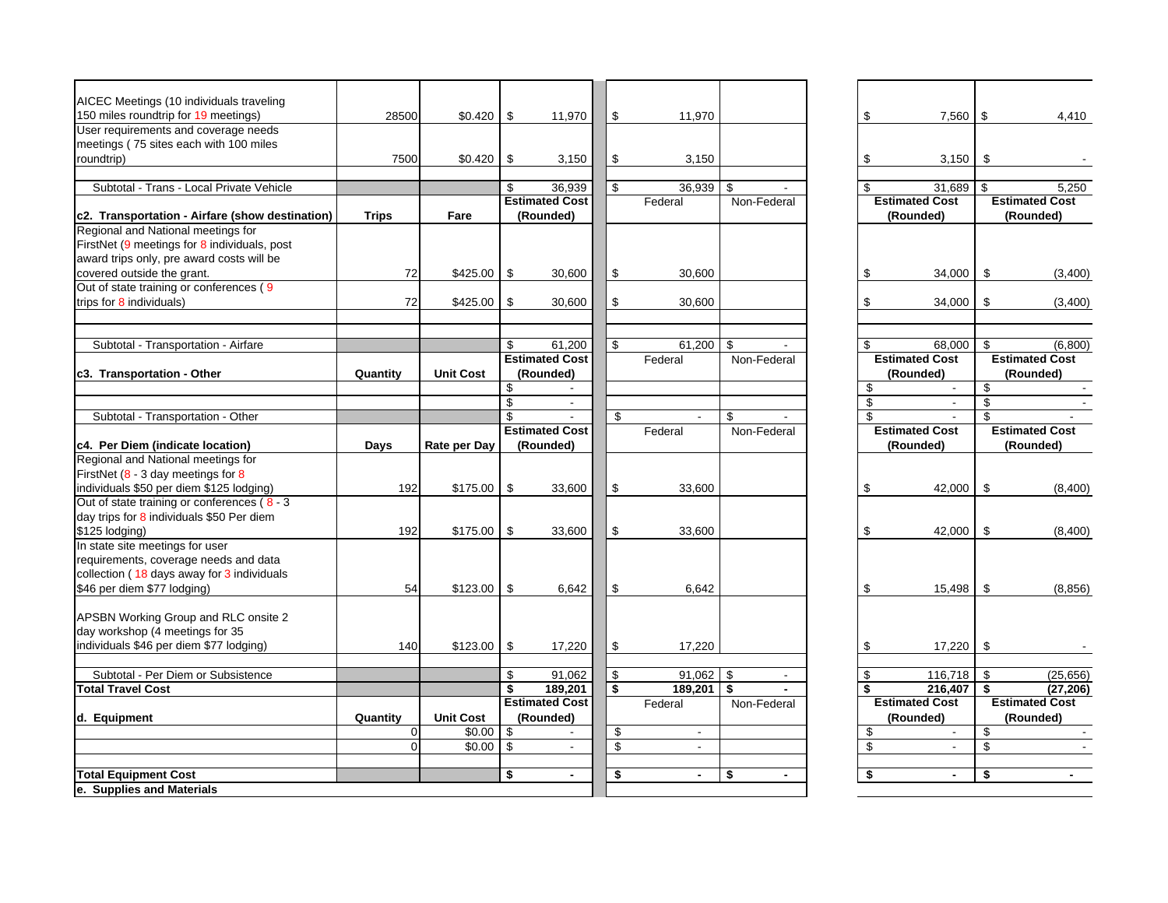| AICEC Meetings (10 individuals traveling        |              |                  |               |                       |                      |                      |     |                          |                          |                       |
|-------------------------------------------------|--------------|------------------|---------------|-----------------------|----------------------|----------------------|-----|--------------------------|--------------------------|-----------------------|
| 150 miles roundtrip for 19 meetings)            | 28500        | $$0.420$ \ \$    |               | 11,970                | \$<br>11,970         |                      | \$  | $7,560$   \$             |                          | 4,410                 |
| User requirements and coverage needs            |              |                  |               |                       |                      |                      |     |                          |                          |                       |
| meetings (75 sites each with 100 miles          |              |                  |               |                       |                      |                      |     |                          |                          |                       |
| roundtrip)                                      | 7500         | \$0.420          | - \$          | 3,150                 | \$<br>3,150          |                      | \$  | 3,150                    | \$                       |                       |
|                                                 |              |                  |               |                       |                      |                      |     |                          |                          |                       |
| Subtotal - Trans - Local Private Vehicle        |              |                  | \$            | 36,939                | \$<br>36,939         | \$.                  | \$  | 31.689                   | -\$                      | 5,250                 |
|                                                 |              |                  |               | <b>Estimated Cost</b> | Federal              | Non-Federal          |     | <b>Estimated Cost</b>    |                          | <b>Estimated Cost</b> |
| c2. Transportation - Airfare (show destination) | <b>Trips</b> | Fare             |               | (Rounded)             |                      |                      |     | (Rounded)                |                          | (Rounded)             |
| Regional and National meetings for              |              |                  |               |                       |                      |                      |     |                          |                          |                       |
| FirstNet (9 meetings for 8 individuals, post    |              |                  |               |                       |                      |                      |     |                          |                          |                       |
| award trips only, pre award costs will be       |              |                  |               |                       |                      |                      |     |                          |                          |                       |
| covered outside the grant.                      | 72           | \$425.00         | - \$          | 30,600                | \$<br>30,600         |                      | \$  | 34,000                   | \$                       | (3,400)               |
| Out of state training or conferences (9         |              |                  |               |                       |                      |                      |     |                          |                          |                       |
| trips for 8 individuals)                        | 72           | \$425.00         | \$            | 30,600                | \$<br>30.600         |                      | \$  | 34,000                   | \$                       | (3,400)               |
|                                                 |              |                  |               |                       |                      |                      |     |                          |                          |                       |
|                                                 |              |                  |               |                       |                      |                      |     |                          |                          |                       |
| Subtotal - Transportation - Airfare             |              |                  | \$            | 61,200                | \$<br>61,200         | \$                   | \$  | 68,000                   | \$                       | (6,800)               |
|                                                 |              |                  |               | <b>Estimated Cost</b> | Federal              | Non-Federal          |     | <b>Estimated Cost</b>    |                          | <b>Estimated Cost</b> |
| c3. Transportation - Other                      | Quantity     | <b>Unit Cost</b> |               | (Rounded)             |                      |                      |     | (Rounded)                |                          | (Rounded)             |
|                                                 |              |                  | \$            |                       |                      |                      | \$  | $\blacksquare$           | \$                       |                       |
|                                                 |              |                  | \$            | $\sim$                |                      |                      | \$  | $\blacksquare$           | $\overline{\mathbf{s}}$  |                       |
| Subtotal - Transportation - Other               |              |                  | \$            |                       | \$                   | \$                   | \$. |                          | \$                       |                       |
|                                                 |              |                  |               | <b>Estimated Cost</b> | Federal              | Non-Federal          |     | <b>Estimated Cost</b>    |                          | <b>Estimated Cost</b> |
| c4. Per Diem (indicate location)                | Days         | Rate per Day     |               | (Rounded)             |                      |                      |     | (Rounded)                |                          | (Rounded)             |
| Regional and National meetings for              |              |                  |               |                       |                      |                      |     |                          |                          |                       |
| FirstNet $(8 - 3)$ day meetings for 8           |              |                  |               |                       |                      |                      |     |                          |                          |                       |
| individuals \$50 per diem \$125 lodging)        | 192          | $$175.00$ \\$    |               | 33,600                | \$<br>33,600         |                      | \$  | 42,000                   | \$                       | (8,400)               |
| Out of state training or conferences (8 - 3     |              |                  |               |                       |                      |                      |     |                          |                          |                       |
| day trips for 8 individuals \$50 Per diem       |              |                  |               |                       |                      |                      |     |                          |                          |                       |
| \$125 lodging)                                  | 192          | $$175.00$ \\$    |               | 33,600                | \$<br>33,600         |                      | \$  | 42,000                   | \$                       | (8,400)               |
| In state site meetings for user                 |              |                  |               |                       |                      |                      |     |                          |                          |                       |
| requirements, coverage needs and data           |              |                  |               |                       |                      |                      |     |                          |                          |                       |
| collection (18 days away for 3 individuals      |              |                  |               |                       |                      |                      |     |                          |                          |                       |
| \$46 per diem \$77 lodging)                     | 54           | \$123.00         | -\$           | 6,642                 | \$<br>6,642          |                      | \$  | 15,498                   | \$                       | (8, 856)              |
|                                                 |              |                  |               |                       |                      |                      |     |                          |                          |                       |
| APSBN Working Group and RLC onsite 2            |              |                  |               |                       |                      |                      |     |                          |                          |                       |
| day workshop (4 meetings for 35                 |              |                  |               |                       |                      |                      |     |                          |                          |                       |
| individuals \$46 per diem \$77 lodging)         | 140          | $$123.00$ \$     |               | 17,220                | \$<br>17,220         |                      | \$  | 17,220                   | \$                       |                       |
|                                                 |              |                  |               |                       |                      |                      |     |                          |                          |                       |
| Subtotal - Per Diem or Subsistence              |              |                  | \$            | 91,062                | \$<br>91,062         | \$                   | \$  | 116,718                  | \$                       | (25, 656)             |
| <b>Total Travel Cost</b>                        |              |                  | \$            | 189,201               | \$<br>189,201        | \$<br>$\blacksquare$ | \$  | 216,407                  | S.                       | (27, 206)             |
|                                                 |              |                  |               | <b>Estimated Cost</b> | Federal              | Non-Federal          |     | <b>Estimated Cost</b>    |                          | <b>Estimated Cost</b> |
| d. Equipment                                    | Quantity     | <b>Unit Cost</b> |               | (Rounded)             |                      |                      |     | (Rounded)                |                          | (Rounded)             |
|                                                 | 0            | \$0.00           | \$            |                       | \$<br>$\overline{a}$ |                      | \$  | $\overline{\phantom{a}}$ | \$                       |                       |
|                                                 | 0            | \$0.00           | $\sqrt[6]{3}$ | $\blacksquare$        | \$<br>$\blacksquare$ |                      | \$  | $\blacksquare$           | $\overline{\mathcal{S}}$ |                       |
|                                                 |              |                  |               |                       |                      |                      |     |                          |                          |                       |
| <b>Total Equipment Cost</b>                     |              |                  | \$            | $\blacksquare$        | \$<br>$\blacksquare$ | \$                   | \$  | $\blacksquare$           | \$                       | $\blacksquare$        |
| e. Supplies and Materials                       |              |                  |               |                       |                      |                      |     |                          |                          |                       |

|   | \$       | 7,560                              | \$       | 4,410                              |
|---|----------|------------------------------------|----------|------------------------------------|
|   |          |                                    |          |                                    |
|   |          |                                    |          |                                    |
|   | \$       | 3,150                              | \$       |                                    |
|   | \$       | 31,689                             | \$       | 5,250                              |
| ľ |          | <b>Estimated Cost</b>              |          | <b>Estimated Cost</b>              |
|   |          | (Rounded)                          |          | (Rounded)                          |
|   |          |                                    |          |                                    |
|   |          |                                    |          |                                    |
|   | \$       | 34,000                             | \$       | (3,400)                            |
|   | \$       | 34,000                             | \$       | (3,400)                            |
|   |          |                                    |          |                                    |
|   |          |                                    |          |                                    |
| ľ | \$       | 68,000<br><b>Estimated Cost</b>    | \$       | (6,800)<br><b>Estimated Cost</b>   |
|   |          | (Rounded)                          |          | (Rounded)                          |
|   | \$       |                                    | \$       |                                    |
|   | \$       |                                    | \$       |                                    |
|   | \$       |                                    | \$       |                                    |
| ľ |          | <b>Estimated Cost</b><br>(Rounded) |          | <b>Estimated Cost</b><br>(Rounded) |
|   |          |                                    |          |                                    |
|   |          |                                    |          |                                    |
|   | \$       | 42,000                             | \$       | (8,400)                            |
|   |          |                                    |          |                                    |
|   | \$       | 42,000                             | \$       | (8,400)                            |
|   |          |                                    |          |                                    |
|   |          |                                    |          |                                    |
|   | \$       | 15,498                             | \$       | (8, 856)                           |
|   |          |                                    |          |                                    |
|   |          |                                    |          |                                    |
|   | \$       | 17,220                             | \$       |                                    |
|   |          |                                    |          |                                    |
|   | \$<br>\$ | 116,718<br>216,407                 | \$<br>\$ | (25, 656)<br>(27, 206)             |
| ľ |          | <b>Estimated Cost</b>              |          | <b>Estimated Cost</b>              |
|   |          | (Rounded)                          |          | (Rounded)                          |
|   | \$       |                                    | \$       | L.                                 |
|   | \$       | $\overline{a}$                     | \$       |                                    |
|   | \$       |                                    | \$       |                                    |
|   |          |                                    |          |                                    |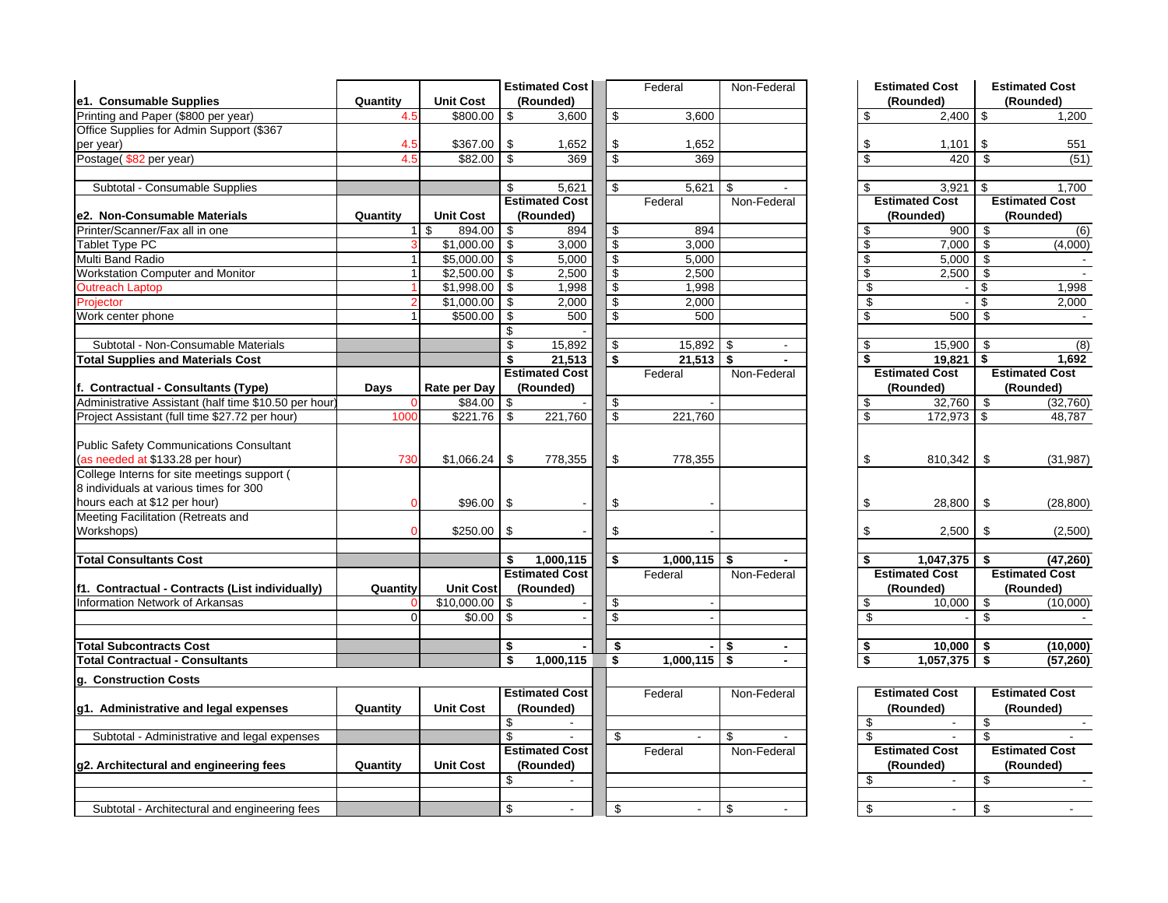|                                                       |                |                   |     | <b>Estimated Cost</b> |                          | Federal                  | Non-Federal          |                                  | <b>Estimated Cost</b> |                                  | <b>Estimated Cost</b>    |
|-------------------------------------------------------|----------------|-------------------|-----|-----------------------|--------------------------|--------------------------|----------------------|----------------------------------|-----------------------|----------------------------------|--------------------------|
| e1. Consumable Supplies                               | Quantity       | <b>Unit Cost</b>  |     | (Rounded)             |                          |                          |                      |                                  | (Rounded)             |                                  | (Rounded)                |
| Printing and Paper (\$800 per year)                   | 4.5            | \$800.00          | \$  | 3,600                 | \$                       | 3.600                    |                      | \$                               | 2.400                 | \$                               | 1,200                    |
| Office Supplies for Admin Support (\$367              |                |                   |     |                       |                          |                          |                      |                                  |                       |                                  |                          |
| per year)                                             | 4.5            | \$367.00          | \$  | 1,652                 | \$                       | 1,652                    |                      | \$                               | 1,101                 | \$                               | 551                      |
| Postage(\$82 per year)                                | 4.5            | \$82.00           | \$  | 369                   | \$                       | 369                      |                      | \$                               | 420                   | \$                               | (51)                     |
|                                                       |                |                   |     |                       |                          |                          |                      |                                  |                       |                                  |                          |
| Subtotal - Consumable Supplies                        |                |                   | \$  | 5,621                 | \$                       | 5,621                    | \$.                  | \$                               | 3,921                 | \$                               | 1,700                    |
|                                                       |                |                   |     | <b>Estimated Cost</b> |                          | Federal                  | Non-Federal          |                                  | <b>Estimated Cost</b> |                                  | <b>Estimated Cost</b>    |
| e2. Non-Consumable Materials                          | Quantity       | <b>Unit Cost</b>  |     | (Rounded)             |                          |                          |                      |                                  | (Rounded)             |                                  | (Rounded)                |
| Printer/Scanner/Fax all in one                        | $\mathbf{1}$   | 894.00<br>\$      | -\$ | 894                   | \$                       | 894                      |                      | \$                               | 900                   | \$                               | $\overline{(6)}$         |
| Tablet Type PC                                        |                | $$1,000.00$ \$    |     | 3,000                 | $\overline{\mathcal{S}}$ | 3,000                    |                      | \$                               | 7,000                 | $\overline{\boldsymbol{\theta}}$ | (4,000)                  |
| Multi Band Radio                                      |                | \$5,000.00        | \$  | 5,000                 | \$                       | 5,000                    |                      | \$                               | 5,000                 | \$                               |                          |
| <b>Workstation Computer and Monitor</b>               | 1              | \$2,500.00        | \$  | 2,500                 | \$                       | 2,500                    |                      | \$                               | 2,500                 | \$                               |                          |
| <b>Outreach Laptop</b>                                |                | \$1,998.00        | \$  | 1,998                 | $\sqrt[6]{\frac{1}{2}}$  | 1,998                    |                      | $\overline{\boldsymbol{\theta}}$ |                       | \$                               | 1,998                    |
| Projector                                             |                | \$1,000.00        | \$  | 2,000                 | $\overline{\$}$          | 2,000                    |                      | \$                               |                       | \$                               | 2,000                    |
| Work center phone                                     |                | \$500.00          | \$  | 500                   | \$                       | 500                      |                      | \$                               | 500                   | \$                               |                          |
|                                                       |                |                   | \$  |                       |                          |                          |                      |                                  |                       |                                  |                          |
| Subtotal - Non-Consumable Materials                   |                |                   | \$  | 15,892                | \$                       | 15,892                   | \$                   | \$                               | 15,900                | \$                               | (8)                      |
| <b>Total Supplies and Materials Cost</b>              |                |                   | \$  | 21,513                | \$                       | 21,513                   | \$                   | S.                               | 19,821                | S.                               | 1,692                    |
|                                                       |                |                   |     | <b>Estimated Cost</b> |                          | Federal                  | Non-Federal          |                                  | <b>Estimated Cost</b> |                                  | <b>Estimated Cost</b>    |
| f. Contractual - Consultants (Type)                   | Days           | Rate per Day      |     | (Rounded)             |                          |                          |                      |                                  | (Rounded)             |                                  | (Rounded)                |
| Administrative Assistant (half time \$10.50 per hour) |                | \$84.00           | \$  |                       | \$                       |                          |                      | \$                               | 32,760                | \$                               | (32, 760)                |
| Project Assistant (full time \$27.72 per hour)        | 1000           | \$221.76          | \$  | 221,760               | $\overline{\mathcal{S}}$ | 221,760                  |                      | $\overline{\mathbf{s}}$          | 172,973               | \$                               | 48,787                   |
|                                                       |                |                   |     |                       |                          |                          |                      |                                  |                       |                                  |                          |
| <b>Public Safety Communications Consultant</b>        |                |                   |     |                       |                          |                          |                      |                                  |                       |                                  |                          |
| (as needed at \$133.28 per hour)                      | 730            | \$1,066.24        | \$  | 778,355               | \$                       | 778,355                  |                      | \$                               | 810,342               | \$                               | (31, 987)                |
| College Interns for site meetings support (           |                |                   |     |                       |                          |                          |                      |                                  |                       |                                  |                          |
| 8 individuals at various times for 300                |                |                   |     |                       |                          |                          |                      |                                  |                       |                                  |                          |
| hours each at \$12 per hour)                          |                | $$96.00$ \\$      |     |                       | \$                       |                          |                      | \$                               | 28,800                | \$                               | (28, 800)                |
| Meeting Facilitation (Retreats and                    |                |                   |     |                       |                          |                          |                      |                                  |                       |                                  |                          |
| Workshops)                                            |                | $$250.00$ \$      |     |                       | \$                       |                          |                      | \$                               | 2,500                 | \$                               | (2,500)                  |
|                                                       |                |                   |     |                       |                          |                          |                      |                                  |                       |                                  |                          |
| <b>Total Consultants Cost</b>                         |                |                   | \$  | 1,000,115             | \$                       | 1,000,115                | \$<br>$\blacksquare$ | \$                               | 1,047,375             | \$                               | (47, 260)                |
|                                                       |                |                   |     | <b>Estimated Cost</b> |                          | Federal                  | Non-Federal          |                                  | <b>Estimated Cost</b> |                                  | <b>Estimated Cost</b>    |
| f1. Contractual - Contracts (List individually)       | Quantity       | <b>Unit Cost</b>  |     | (Rounded)             |                          |                          |                      |                                  | (Rounded)             |                                  | (Rounded)                |
| Information Network of Arkansas                       |                | $$10,000.00$ \ \$ |     |                       | \$                       | $\blacksquare$           |                      | \$                               | 10,000                | \$                               | (10,000)                 |
|                                                       | $\overline{0}$ | $$0.00$ \ \$      |     |                       | \$                       |                          |                      | \$                               |                       | \$                               | $\overline{\phantom{a}}$ |
|                                                       |                |                   |     |                       |                          |                          |                      |                                  |                       |                                  |                          |
| <b>Total Subcontracts Cost</b>                        |                |                   | \$  |                       | \$                       | $\blacksquare$           | \$<br>$\blacksquare$ | \$                               | 10,000                | \$                               | (10,000)                 |
| <b>Total Contractual - Consultants</b>                |                |                   | \$  | 1,000,115             | \$                       | 1,000,115                | \$                   | \$                               | 1,057,375             | \$                               | (57, 260)                |
|                                                       |                |                   |     |                       |                          |                          |                      |                                  |                       |                                  |                          |
| g. Construction Costs                                 |                |                   |     |                       |                          |                          |                      |                                  |                       |                                  |                          |
|                                                       |                |                   |     | <b>Estimated Cost</b> |                          | Federal                  | Non-Federal          |                                  | <b>Estimated Cost</b> |                                  | <b>Estimated Cost</b>    |
| g1. Administrative and legal expenses                 | Quantity       | <b>Unit Cost</b>  |     | (Rounded)             |                          |                          |                      |                                  | (Rounded)             |                                  | (Rounded)                |
|                                                       |                |                   | \$  |                       |                          |                          |                      | \$                               |                       | \$                               |                          |
| Subtotal - Administrative and legal expenses          |                |                   | \$  | $\blacksquare$        | \$                       | $\overline{\phantom{a}}$ | \$                   | \$                               | $\sim$                | \$                               |                          |
|                                                       |                |                   |     | <b>Estimated Cost</b> |                          | Federal                  | Non-Federal          |                                  | <b>Estimated Cost</b> |                                  | <b>Estimated Cost</b>    |
| g2. Architectural and engineering fees                | Quantity       | <b>Unit Cost</b>  |     | (Rounded)             |                          |                          |                      |                                  | (Rounded)             |                                  | (Rounded)                |
|                                                       |                |                   | \$  |                       |                          |                          |                      | \$                               |                       | \$                               |                          |
|                                                       |                |                   |     |                       |                          |                          |                      |                                  |                       |                                  |                          |
| Subtotal - Architectural and engineering fees         |                |                   | \$  |                       | \$                       |                          | \$                   | \$                               |                       | \$                               |                          |

|    | <b>Estimated Cost</b> | <b>Estimated Cost</b> |                       |  |  |  |  |
|----|-----------------------|-----------------------|-----------------------|--|--|--|--|
|    | (Rounded)             |                       | (Rounded)             |  |  |  |  |
| \$ | 2,400                 | \$                    | 1,200                 |  |  |  |  |
| \$ | 1,101                 | \$                    | 551                   |  |  |  |  |
| \$ | 420                   | \$                    | (51)                  |  |  |  |  |
|    |                       |                       |                       |  |  |  |  |
| \$ | 3,921                 | \$                    | 1,700                 |  |  |  |  |
|    | <b>Estimated Cost</b> |                       | <b>Estimated Cost</b> |  |  |  |  |
|    | (Rounded)             |                       | (Rounded)             |  |  |  |  |
| \$ | 900                   | \$                    | (6)                   |  |  |  |  |
| \$ | 7,000                 | \$                    | (4,000)               |  |  |  |  |
| \$ | 5,000                 | \$                    |                       |  |  |  |  |
| \$ | 2,500                 | \$                    |                       |  |  |  |  |
| \$ |                       | \$                    | 1,998                 |  |  |  |  |
| \$ |                       | \$                    | 2,000                 |  |  |  |  |
| \$ | 500                   | \$                    |                       |  |  |  |  |
|    |                       |                       |                       |  |  |  |  |
| \$ | 15,900                | \$                    | (8)                   |  |  |  |  |
| \$ | 19,821                | \$                    | 1,692                 |  |  |  |  |
|    | <b>Estimated Cost</b> |                       | <b>Estimated Cost</b> |  |  |  |  |
|    | (Rounded)             | (Rounded)             |                       |  |  |  |  |
| \$ | 32,760                | \$                    | (32, 760)             |  |  |  |  |
| \$ | 172,973               | \$                    | 48,787                |  |  |  |  |
|    |                       |                       |                       |  |  |  |  |
| \$ | 810,342               | \$                    | (31, 987)             |  |  |  |  |
|    |                       |                       |                       |  |  |  |  |
| \$ | 28,800                | \$                    | (28, 800)             |  |  |  |  |
| \$ | 2,500                 | \$                    | (2,500)               |  |  |  |  |
|    |                       |                       |                       |  |  |  |  |
|    |                       |                       |                       |  |  |  |  |
| \$ | 1,047,375             | \$                    | (47, 260)             |  |  |  |  |
|    | <b>Estimated Cost</b> |                       | <b>Estimated Cost</b> |  |  |  |  |
|    | (Rounded)             |                       | (Rounded)             |  |  |  |  |
| \$ | 10,000                | \$                    | (10,000)              |  |  |  |  |
| \$ |                       | \$                    |                       |  |  |  |  |
| \$ | 10,000                | \$                    | (10,000)              |  |  |  |  |

|  | <b>Estimated Cost</b> | <b>Estimated Cost</b> |                       |  |  |  |  |  |
|--|-----------------------|-----------------------|-----------------------|--|--|--|--|--|
|  | (Rounded)             | (Rounded)             |                       |  |  |  |  |  |
|  |                       |                       |                       |  |  |  |  |  |
|  |                       |                       |                       |  |  |  |  |  |
|  | <b>Estimated Cost</b> |                       | <b>Estimated Cost</b> |  |  |  |  |  |
|  | (Rounded)             |                       | (Rounded)             |  |  |  |  |  |
|  |                       |                       |                       |  |  |  |  |  |
|  |                       |                       |                       |  |  |  |  |  |
|  |                       |                       |                       |  |  |  |  |  |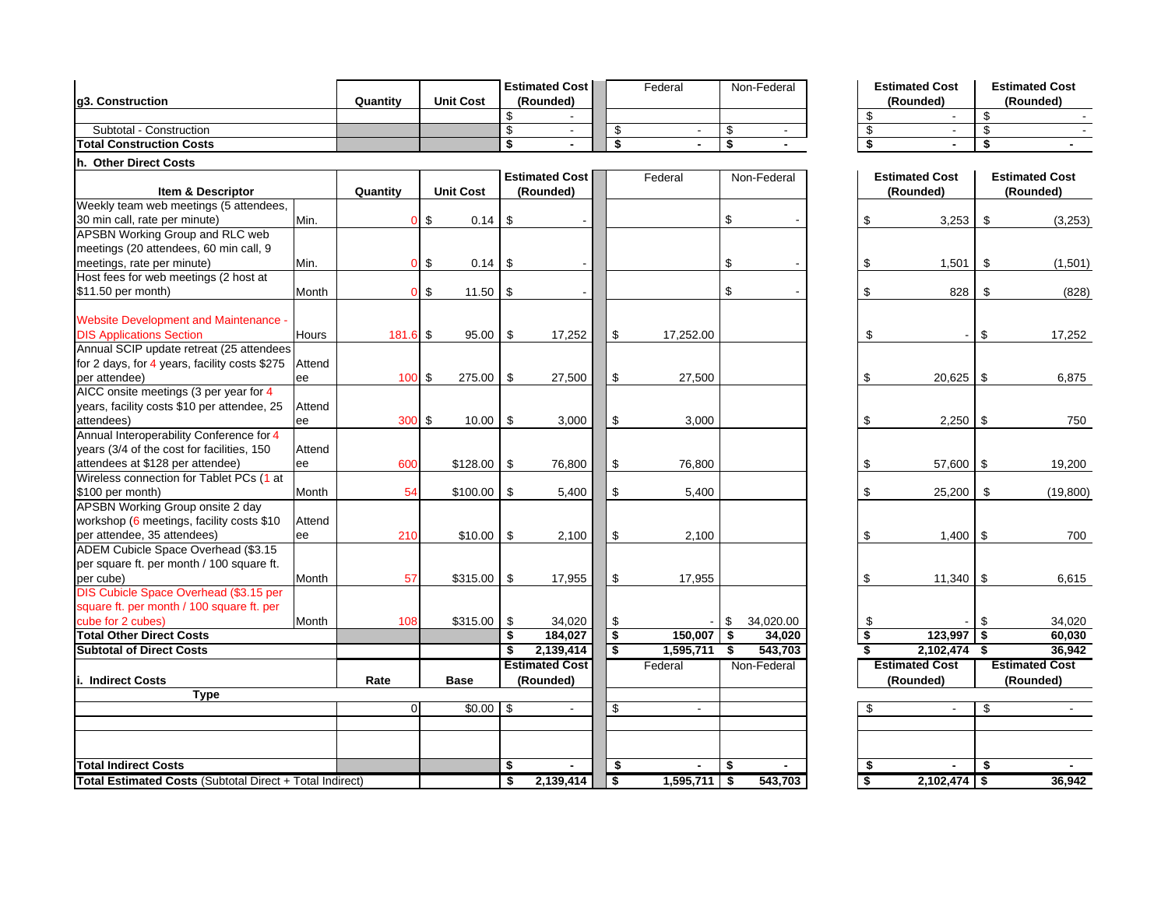|                                                            |        |                |                  |          | <b>Estimated Cost</b>              |                               | Federal        |          | Non-Federal                      |                                            | <b>Estimated Cost</b>              |          | <b>Estimated Cost</b>              |
|------------------------------------------------------------|--------|----------------|------------------|----------|------------------------------------|-------------------------------|----------------|----------|----------------------------------|--------------------------------------------|------------------------------------|----------|------------------------------------|
| g3. Construction                                           |        | Quantity       | <b>Unit Cost</b> |          | (Rounded)                          |                               |                |          |                                  |                                            | (Rounded)                          |          | (Rounded)                          |
|                                                            |        |                |                  | \$       |                                    |                               |                |          |                                  | \$                                         |                                    | \$       |                                    |
| Subtotal - Construction<br><b>Total Construction Costs</b> |        |                |                  | \$<br>\$ | $\blacksquare$                     | \$<br>$\overline{\mathbf{s}}$ | $\blacksquare$ | \$<br>\$ | $\blacksquare$<br>$\blacksquare$ | \$<br>$\overline{\boldsymbol{\mathsf{s}}}$ | $\sim$                             | \$<br>\$ |                                    |
|                                                            |        |                |                  |          |                                    |                               |                |          |                                  |                                            |                                    |          |                                    |
| h. Other Direct Costs                                      |        |                |                  |          |                                    |                               |                |          |                                  |                                            |                                    |          |                                    |
| <b>Item &amp; Descriptor</b>                               |        | Quantity       | <b>Unit Cost</b> |          | <b>Estimated Cost</b><br>(Rounded) |                               | Federal        |          | Non-Federal                      |                                            | <b>Estimated Cost</b><br>(Rounded) |          | <b>Estimated Cost</b><br>(Rounded) |
| Weekly team web meetings (5 attendees,                     |        |                |                  |          |                                    |                               |                |          |                                  |                                            |                                    |          |                                    |
| 30 min call, rate per minute)                              | Min.   | $\Omega$       | \$<br>0.14       | \$       |                                    |                               |                | \$       |                                  | \$                                         | 3,253                              | \$       | (3, 253)                           |
| APSBN Working Group and RLC web                            |        |                |                  |          |                                    |                               |                |          |                                  |                                            |                                    |          |                                    |
| meetings (20 attendees, 60 min call, 9                     |        |                |                  |          |                                    |                               |                |          |                                  |                                            |                                    |          |                                    |
| meetings, rate per minute)                                 | Min.   | $\mathbf{0}$   | \$<br>0.14       | \$       |                                    |                               |                | \$       |                                  | \$                                         | 1,501                              | \$       | (1,501)                            |
| Host fees for web meetings (2 host at                      |        |                |                  |          |                                    |                               |                |          |                                  |                                            |                                    |          |                                    |
| \$11.50 per month)                                         | Month  | $\Omega$       | \$<br>11.50      | \$       |                                    |                               |                | \$       |                                  | \$                                         | 828                                | \$       | (828)                              |
|                                                            |        |                |                  |          |                                    |                               |                |          |                                  |                                            |                                    |          |                                    |
| <b>Website Development and Maintenance -</b>               |        |                |                  |          |                                    |                               |                |          |                                  |                                            |                                    |          |                                    |
| <b>DIS Applications Section</b>                            | Hours  | 181.6 \$       | 95.00            | \$       | 17,252                             | \$                            | 17,252.00      |          |                                  | \$                                         |                                    | \$       | 17,252                             |
| Annual SCIP update retreat (25 attendees                   |        |                |                  |          |                                    |                               |                |          |                                  |                                            |                                    |          |                                    |
| for 2 days, for 4 years, facility costs \$275              | Attend |                |                  |          |                                    |                               |                |          |                                  |                                            |                                    |          |                                    |
| per attendee)                                              | ee     | 100            | \$<br>275.00     | \$       | 27,500                             | \$                            | 27,500         |          |                                  | \$                                         | 20,625                             | \$       | 6,875                              |
| AICC onsite meetings (3 per year for 4                     |        |                |                  |          |                                    |                               |                |          |                                  |                                            |                                    |          |                                    |
| years, facility costs \$10 per attendee, 25                | Attend |                |                  |          |                                    |                               |                |          |                                  |                                            |                                    |          |                                    |
| attendees)                                                 | ee     | 300 \$         | 10.00            | \$       | 3,000                              | \$                            | 3,000          |          |                                  | \$                                         | $2,250$ \$                         |          | 750                                |
| Annual Interoperability Conference for 4                   |        |                |                  |          |                                    |                               |                |          |                                  |                                            |                                    |          |                                    |
| years (3/4 of the cost for facilities, 150                 | Attend |                |                  |          |                                    |                               |                |          |                                  |                                            |                                    |          |                                    |
| attendees at \$128 per attendee)                           | ee     | 600            | \$128.00         | \$       | 76,800                             | \$                            | 76,800         |          |                                  | \$                                         | 57,600 \$                          |          | 19,200                             |
| Wireless connection for Tablet PCs (1 at                   |        |                |                  |          |                                    |                               |                |          |                                  |                                            |                                    |          |                                    |
| \$100 per month)                                           | Month  | 54             | \$100.00         | \$       | 5,400                              | \$                            | 5,400          |          |                                  | \$                                         | 25,200                             | \$       | (19, 800)                          |
| <b>APSBN Working Group onsite 2 day</b>                    |        |                |                  |          |                                    |                               |                |          |                                  |                                            |                                    |          |                                    |
| workshop (6 meetings, facility costs \$10                  | Attend |                |                  |          |                                    |                               |                |          |                                  |                                            |                                    |          |                                    |
| per attendee, 35 attendees)                                | ee     | 210            | \$10.00          | \$       | 2,100                              | \$                            | 2,100          |          |                                  | \$                                         | $1,400$ \$                         |          | 700                                |
| ADEM Cubicle Space Overhead (\$3.15                        |        |                |                  |          |                                    |                               |                |          |                                  |                                            |                                    |          |                                    |
| per square ft. per month / 100 square ft.                  |        |                |                  |          |                                    |                               |                |          |                                  |                                            |                                    |          |                                    |
| per cube)                                                  | Month  | 57             | \$315.00         | \$       | 17,955                             | \$                            | 17,955         |          |                                  | \$                                         | $11,340$ \ \$                      |          | 6,615                              |
| DIS Cubicle Space Overhead (\$3.15 per                     |        |                |                  |          |                                    |                               |                |          |                                  |                                            |                                    |          |                                    |
| square ft. per month / 100 square ft. per                  |        |                |                  |          |                                    |                               |                |          |                                  |                                            |                                    |          |                                    |
|                                                            |        |                |                  |          |                                    |                               |                |          |                                  |                                            |                                    |          |                                    |
| cube for 2 cubes)<br><b>Total Other Direct Costs</b>       | Month  | 108            | \$315.00         | \$<br>\$ | 34,020<br>184.027                  | \$<br>$\overline{\mathbf{s}}$ | 150.007        | \$       | 34,020.00                        | \$                                         | 123,997                            | \$<br>\$ | 34,020                             |
|                                                            |        |                |                  |          |                                    |                               |                | \$       | 34,020                           | \$                                         |                                    |          | 60.030                             |
| <b>Subtotal of Direct Costs</b>                            |        |                |                  | \$       | 2,139,414                          | \$                            | 1,595,711      | \$       | 543,703                          | $\overline{\mathbf{s}}$                    | 2,102,474 \$                       |          | 36.942                             |
|                                                            |        |                |                  |          | <b>Estimated Cost</b>              |                               | Federal        |          | Non-Federal                      |                                            | <b>Estimated Cost</b>              |          | <b>Estimated Cost</b>              |
| i. Indirect Costs                                          |        | Rate           | <b>Base</b>      |          | (Rounded)                          |                               |                |          |                                  |                                            | (Rounded)                          |          | (Rounded)                          |
| <b>Type</b>                                                |        |                |                  |          |                                    |                               |                |          |                                  |                                            |                                    |          |                                    |
|                                                            |        | $\overline{0}$ | \$0.00           | \$       | $\sim$                             | \$                            | $\sim$         |          |                                  | \$                                         | $\sim$                             | \$       | $\sim$                             |
|                                                            |        |                |                  |          |                                    |                               |                |          |                                  |                                            |                                    |          |                                    |
|                                                            |        |                |                  |          |                                    |                               |                |          |                                  |                                            |                                    |          |                                    |
|                                                            |        |                |                  |          |                                    |                               |                |          |                                  |                                            |                                    |          |                                    |
| <b>Total Indirect Costs</b>                                |        |                |                  | \$       | $\blacksquare$                     | \$                            |                | \$       |                                  | \$                                         |                                    | \$       | $\blacksquare$                     |
| Total Estimated Costs (Subtotal Direct + Total Indirect)   |        |                |                  | \$       | 2.139.414                          | $\bullet$                     | $1,595,711$ \$ |          | 543.703                          | \$                                         | $2,102,474$ \$                     |          | 36,942                             |

|  | <b>Estimated Cost</b> | <b>Estimated Cost</b> |           |  |  |  |  |  |
|--|-----------------------|-----------------------|-----------|--|--|--|--|--|
|  | (Rounded)             |                       | (Rounded) |  |  |  |  |  |
|  |                       |                       |           |  |  |  |  |  |
|  |                       |                       |           |  |  |  |  |  |
|  |                       |                       |           |  |  |  |  |  |

| Ī                        |          | <b>Estimated Cost</b><br>(Rounded) |          | <b>Estimated Cost</b><br>(Rounded) |
|--------------------------|----------|------------------------------------|----------|------------------------------------|
| $\overline{\phantom{a}}$ | \$       | 3,253                              | \$       | (3,253)                            |
| $\overline{\phantom{a}}$ | \$       | 1,501                              | \$       | (1,501)                            |
| $\overline{\phantom{a}}$ | \$       | 828                                | \$       | (828)                              |
|                          | \$       |                                    | \$       | 17,252                             |
|                          | \$       | 20,625                             | \$       | 6,875                              |
|                          | \$       | 2,250                              | \$       | 750                                |
|                          | \$       | 57,600                             | \$       | 19,200                             |
|                          | \$       | 25,200                             | \$       | (19, 800)                          |
|                          | \$       | 1,400                              | \$       | 700                                |
|                          | \$       | 11,340                             | \$       | 6,615                              |
| 0                        | \$       |                                    | \$       | 34,020                             |
| $\overline{0}$<br>13     | \$<br>\$ | 123,997<br>2,102,474               | \$<br>\$ | 60,030                             |
| ī                        |          | <b>Estimated Cost</b>              |          | 36,942<br><b>Estimated Cost</b>    |
|                          |          | (Rounded)                          |          | (Rounded)                          |
|                          |          |                                    |          |                                    |
|                          | \$       |                                    | \$       |                                    |
|                          |          |                                    |          |                                    |
|                          | \$       |                                    | \$       |                                    |
| 13                       | \$       | 2,102,474                          | \$       | 36,942                             |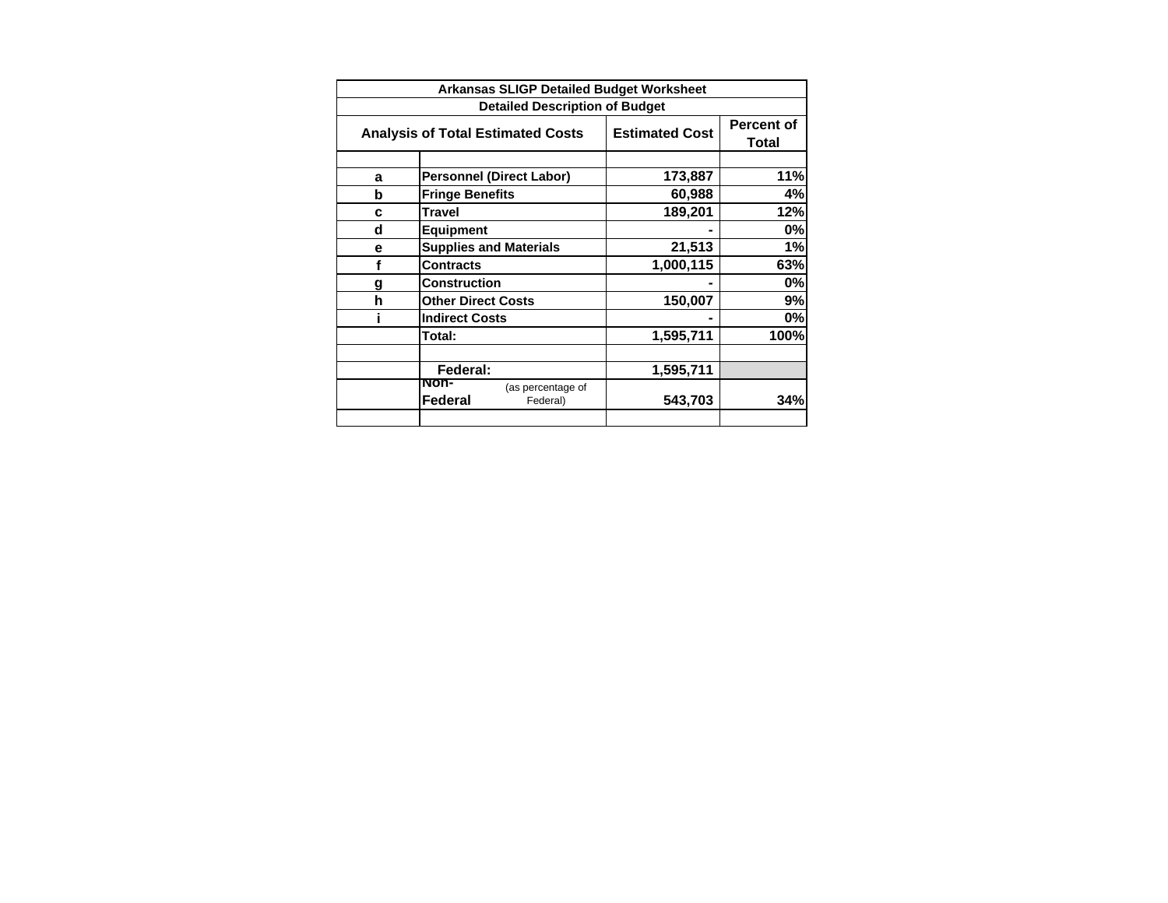| <b>Arkansas SLIGP Detailed Budget Worksheet</b> |                                                  |                       |                            |  |  |  |  |  |  |
|-------------------------------------------------|--------------------------------------------------|-----------------------|----------------------------|--|--|--|--|--|--|
| <b>Detailed Description of Budget</b>           |                                                  |                       |                            |  |  |  |  |  |  |
|                                                 | <b>Analysis of Total Estimated Costs</b>         | <b>Estimated Cost</b> | <b>Percent of</b><br>Total |  |  |  |  |  |  |
|                                                 |                                                  |                       |                            |  |  |  |  |  |  |
| a                                               | <b>Personnel (Direct Labor)</b>                  | 173,887               | 11%                        |  |  |  |  |  |  |
| b                                               | <b>Fringe Benefits</b>                           | 60,988                | 4%                         |  |  |  |  |  |  |
| C                                               | <b>Travel</b>                                    | 189,201               | 12%                        |  |  |  |  |  |  |
| d                                               | Equipment                                        |                       | 0%                         |  |  |  |  |  |  |
| е                                               | <b>Supplies and Materials</b>                    | 21,513                | 1%                         |  |  |  |  |  |  |
| f                                               | <b>Contracts</b>                                 | 1,000,115             | 63%                        |  |  |  |  |  |  |
| g                                               | Construction                                     |                       | 0%                         |  |  |  |  |  |  |
| h                                               | <b>Other Direct Costs</b>                        | 150,007               | 9%                         |  |  |  |  |  |  |
|                                                 | <b>Indirect Costs</b>                            |                       | 0%                         |  |  |  |  |  |  |
|                                                 | Total:                                           | 1,595,711             | 100%                       |  |  |  |  |  |  |
|                                                 |                                                  |                       |                            |  |  |  |  |  |  |
|                                                 | Federal:                                         | 1,595,711             |                            |  |  |  |  |  |  |
|                                                 | NON-<br>(as percentage of<br>Federal<br>Federal) | 543,703               | 34%                        |  |  |  |  |  |  |
|                                                 |                                                  |                       |                            |  |  |  |  |  |  |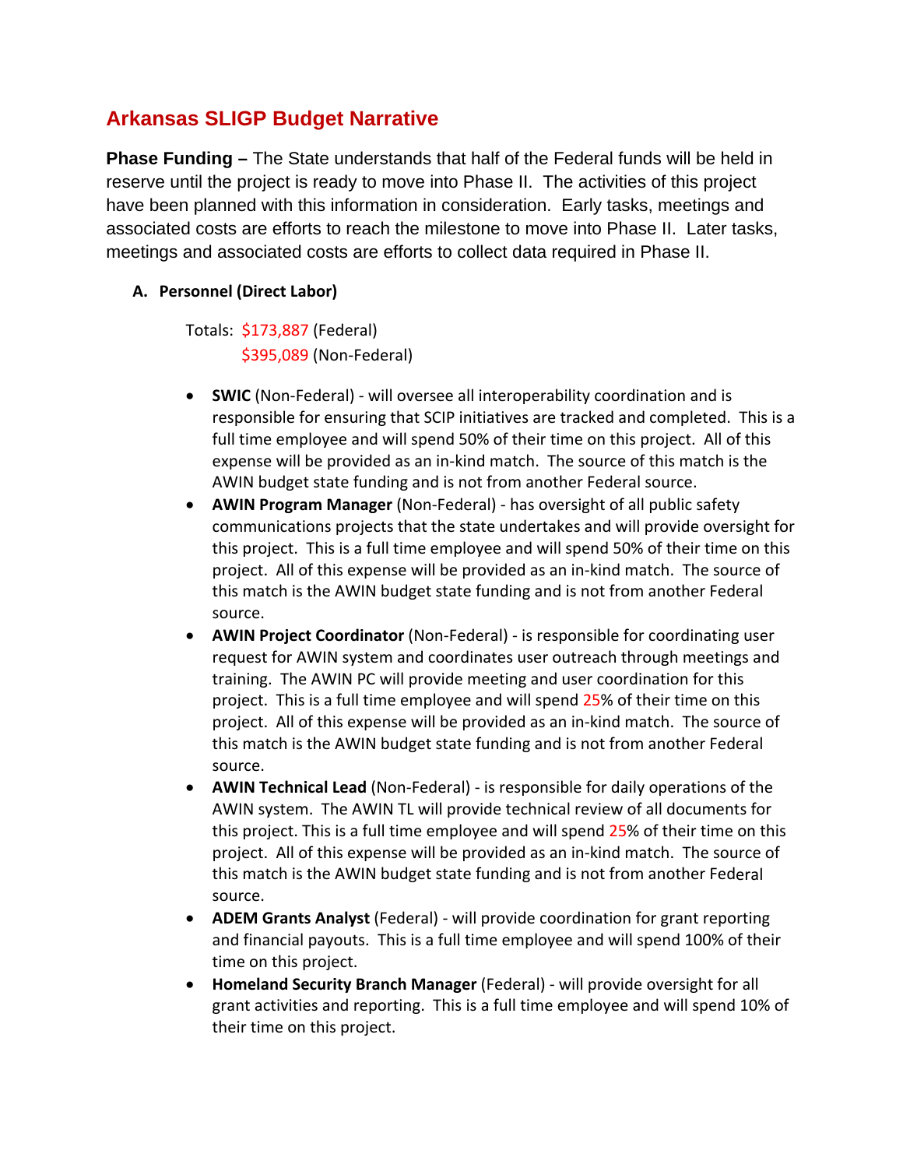# **Arkansas SLIGP Budget Narrative**

**Phase Funding –** The State understands that half of the Federal funds will be held in reserve until the project is ready to move into Phase II. The activities of this project have been planned with this information in consideration. Early tasks, meetings and associated costs are efforts to reach the milestone to move into Phase II. Later tasks, meetings and associated costs are efforts to collect data required in Phase II.

### **A. Personnel (Direct Labor)**

Totals: \$173,887 (Federal) \$395,089 (Non‐Federal)

- **SWIC** (Non‐Federal) ‐ will oversee all interoperability coordination and is responsible for ensuring that SCIP initiatives are tracked and completed. This is a full time employee and will spend 50% of their time on this project. All of this expense will be provided as an in‐kind match. The source of this match is the AWIN budget state funding and is not from another Federal source.
- **AWIN Program Manager** (Non‐Federal) ‐ has oversight of all public safety communications projects that the state undertakes and will provide oversight for this project. This is a full time employee and will spend 50% of their time on this project. All of this expense will be provided as an in‐kind match. The source of this match is the AWIN budget state funding and is not from another Federal source.
- **AWIN Project Coordinator** (Non‐Federal) ‐ is responsible for coordinating user request for AWIN system and coordinates user outreach through meetings and training. The AWIN PC will provide meeting and user coordination for this project. This is a full time employee and will spend 25% of their time on this project. All of this expense will be provided as an in‐kind match. The source of this match is the AWIN budget state funding and is not from another Federal source.
- **AWIN Technical Lead** (Non‐Federal) ‐ is responsible for daily operations of the AWIN system. The AWIN TL will provide technical review of all documents for this project. This is a full time employee and will spend 25% of their time on this project. All of this expense will be provided as an in‐kind match. The source of this match is the AWIN budget state funding and is not from another Federal source.
- **ADEM Grants Analyst** (Federal) ‐ will provide coordination for grant reporting and financial payouts. This is a full time employee and will spend 100% of their time on this project.
- **Homeland Security Branch Manager** (Federal) ‐ will provide oversight for all grant activities and reporting. This is a full time employee and will spend 10% of their time on this project.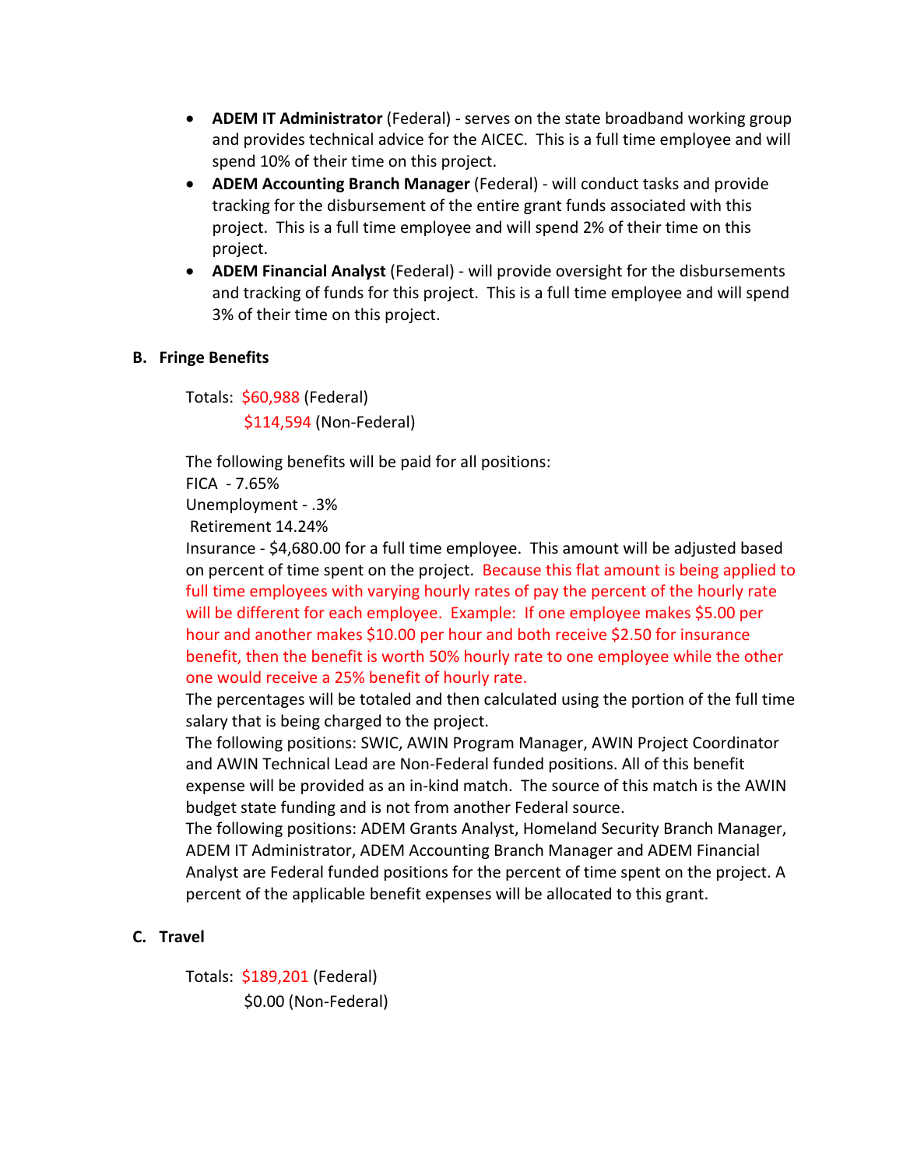- **ADEM IT Administrator** (Federal) ‐ serves on the state broadband working group and provides technical advice for the AICEC. This is a full time employee and will spend 10% of their time on this project.
- **ADEM Accounting Branch Manager** (Federal) ‐ will conduct tasks and provide tracking for the disbursement of the entire grant funds associated with this project. This is a full time employee and will spend 2% of their time on this project.
- **ADEM Financial Analyst** (Federal) ‐ will provide oversight for the disbursements and tracking of funds for this project. This is a full time employee and will spend 3% of their time on this project.

### **B. Fringe Benefits**

Totals: \$60,988 (Federal) \$114,594 (Non‐Federal)

The following benefits will be paid for all positions:

FICA ‐ 7.65%

Unemployment ‐ .3%

Retirement 14.24%

Insurance ‐ \$4,680.00 for a full time employee. This amount will be adjusted based on percent of time spent on the project. Because this flat amount is being applied to full time employees with varying hourly rates of pay the percent of the hourly rate will be different for each employee. Example: If one employee makes \$5.00 per hour and another makes \$10.00 per hour and both receive \$2.50 for insurance benefit, then the benefit is worth 50% hourly rate to one employee while the other one would receive a 25% benefit of hourly rate.

The percentages will be totaled and then calculated using the portion of the full time salary that is being charged to the project.

The following positions: SWIC, AWIN Program Manager, AWIN Project Coordinator and AWIN Technical Lead are Non‐Federal funded positions. All of this benefit expense will be provided as an in‐kind match. The source of this match is the AWIN budget state funding and is not from another Federal source.

The following positions: ADEM Grants Analyst, Homeland Security Branch Manager, ADEM IT Administrator, ADEM Accounting Branch Manager and ADEM Financial Analyst are Federal funded positions for the percent of time spent on the project. A percent of the applicable benefit expenses will be allocated to this grant.

### **C. Travel**

Totals: \$189,201 (Federal) \$0.00 (Non‐Federal)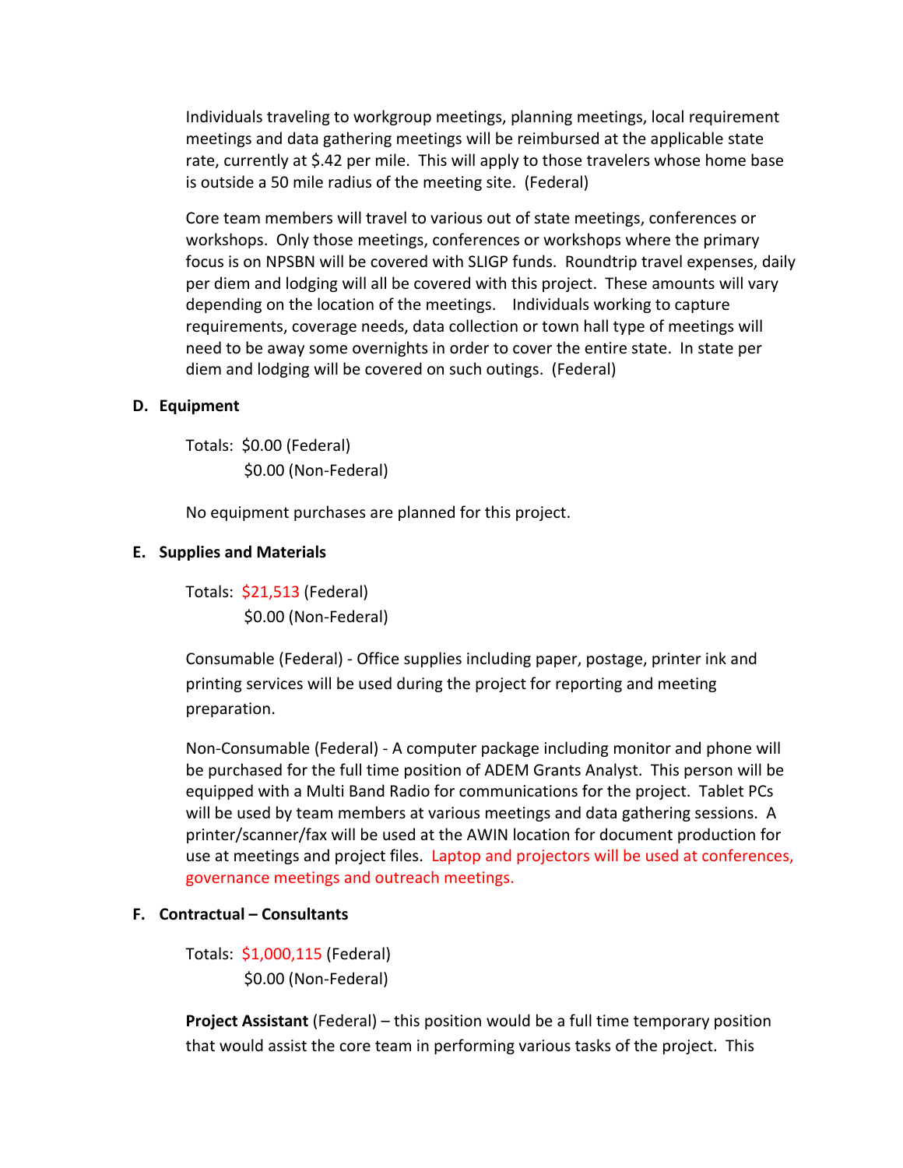Individuals traveling to workgroup meetings, planning meetings, local requirement meetings and data gathering meetings will be reimbursed at the applicable state rate, currently at \$.42 per mile. This will apply to those travelers whose home base is outside a 50 mile radius of the meeting site. (Federal)

Core team members will travel to various out of state meetings, conferences or workshops. Only those meetings, conferences or workshops where the primary focus is on NPSBN will be covered with SLIGP funds. Roundtrip travel expenses, daily per diem and lodging will all be covered with this project. These amounts will vary depending on the location of the meetings. Individuals working to capture requirements, coverage needs, data collection or town hall type of meetings will need to be away some overnights in order to cover the entire state. In state per diem and lodging will be covered on such outings. (Federal)

#### **D. Equipment**

Totals: \$0.00 (Federal) \$0.00 (Non‐Federal)

No equipment purchases are planned for this project.

#### **E. Supplies and Materials**

Totals: \$21,513 (Federal) \$0.00 (Non‐Federal)

Consumable (Federal) ‐ Office supplies including paper, postage, printer ink and printing services will be used during the project for reporting and meeting preparation.

Non‐Consumable (Federal) ‐ A computer package including monitor and phone will be purchased for the full time position of ADEM Grants Analyst. This person will be equipped with a Multi Band Radio for communications for the project. Tablet PCs will be used by team members at various meetings and data gathering sessions. A printer/scanner/fax will be used at the AWIN location for document production for use at meetings and project files. Laptop and projectors will be used at conferences, governance meetings and outreach meetings.

#### **F. Contractual – Consultants**

Totals: \$1,000,115 (Federal) \$0.00 (Non‐Federal)

**Project Assistant** (Federal) – this position would be a full time temporary position that would assist the core team in performing various tasks of the project. This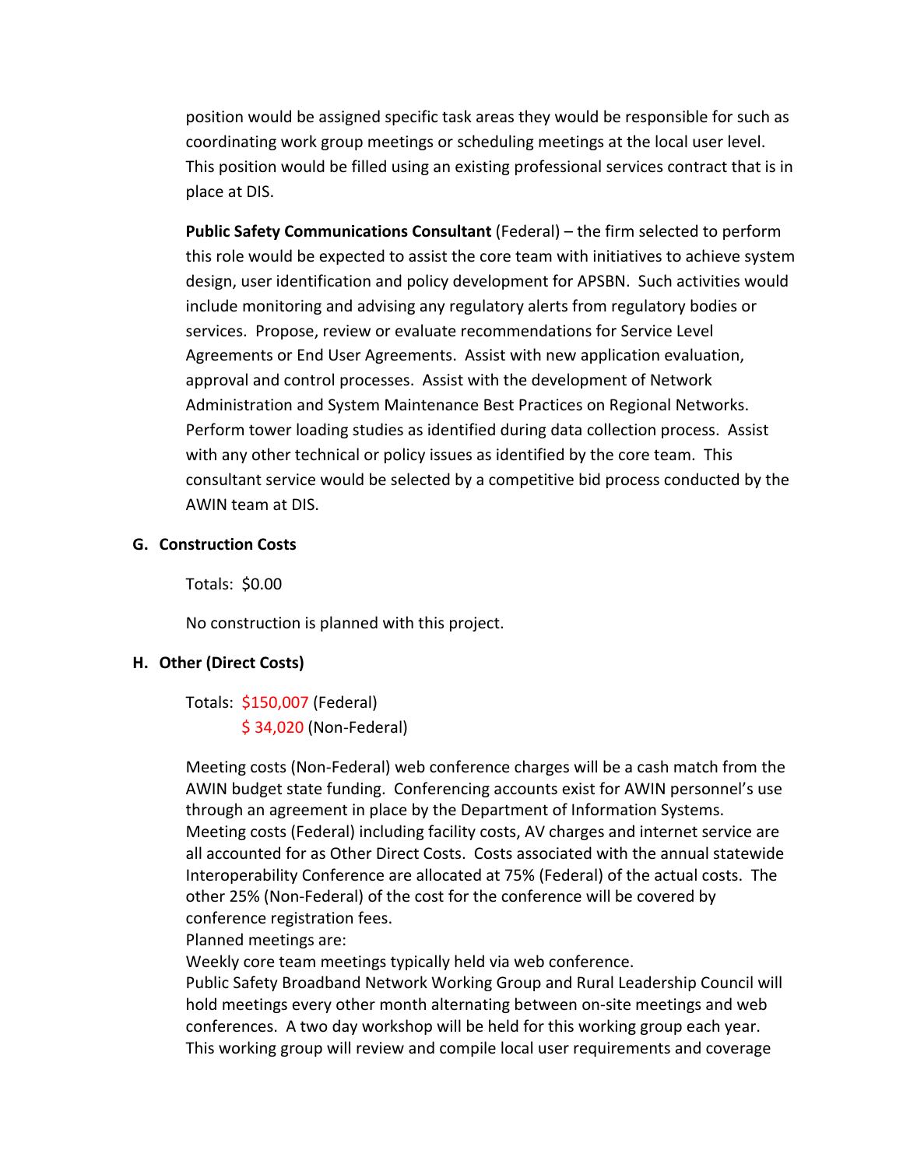position would be assigned specific task areas they would be responsible for such as coordinating work group meetings or scheduling meetings at the local user level. This position would be filled using an existing professional services contract that is in place at DIS.

**Public Safety Communications Consultant** (Federal) – the firm selected to perform this role would be expected to assist the core team with initiatives to achieve system design, user identification and policy development for APSBN. Such activities would include monitoring and advising any regulatory alerts from regulatory bodies or services. Propose, review or evaluate recommendations for Service Level Agreements or End User Agreements. Assist with new application evaluation, approval and control processes. Assist with the development of Network Administration and System Maintenance Best Practices on Regional Networks. Perform tower loading studies as identified during data collection process. Assist with any other technical or policy issues as identified by the core team. This consultant service would be selected by a competitive bid process conducted by the AWIN team at DIS.

#### **G. Construction Costs**

Totals: \$0.00

No construction is planned with this project.

#### **H. Other (Direct Costs)**

Totals: \$150,007 (Federal) \$ 34,020 (Non‐Federal)

Meeting costs (Non‐Federal) web conference charges will be a cash match from the AWIN budget state funding. Conferencing accounts exist for AWIN personnel's use through an agreement in place by the Department of Information Systems. Meeting costs (Federal) including facility costs, AV charges and internet service are all accounted for as Other Direct Costs. Costs associated with the annual statewide Interoperability Conference are allocated at 75% (Federal) of the actual costs. The other 25% (Non‐Federal) of the cost for the conference will be covered by conference registration fees.

Planned meetings are:

Weekly core team meetings typically held via web conference.

Public Safety Broadband Network Working Group and Rural Leadership Council will hold meetings every other month alternating between on‐site meetings and web conferences. A two day workshop will be held for this working group each year. This working group will review and compile local user requirements and coverage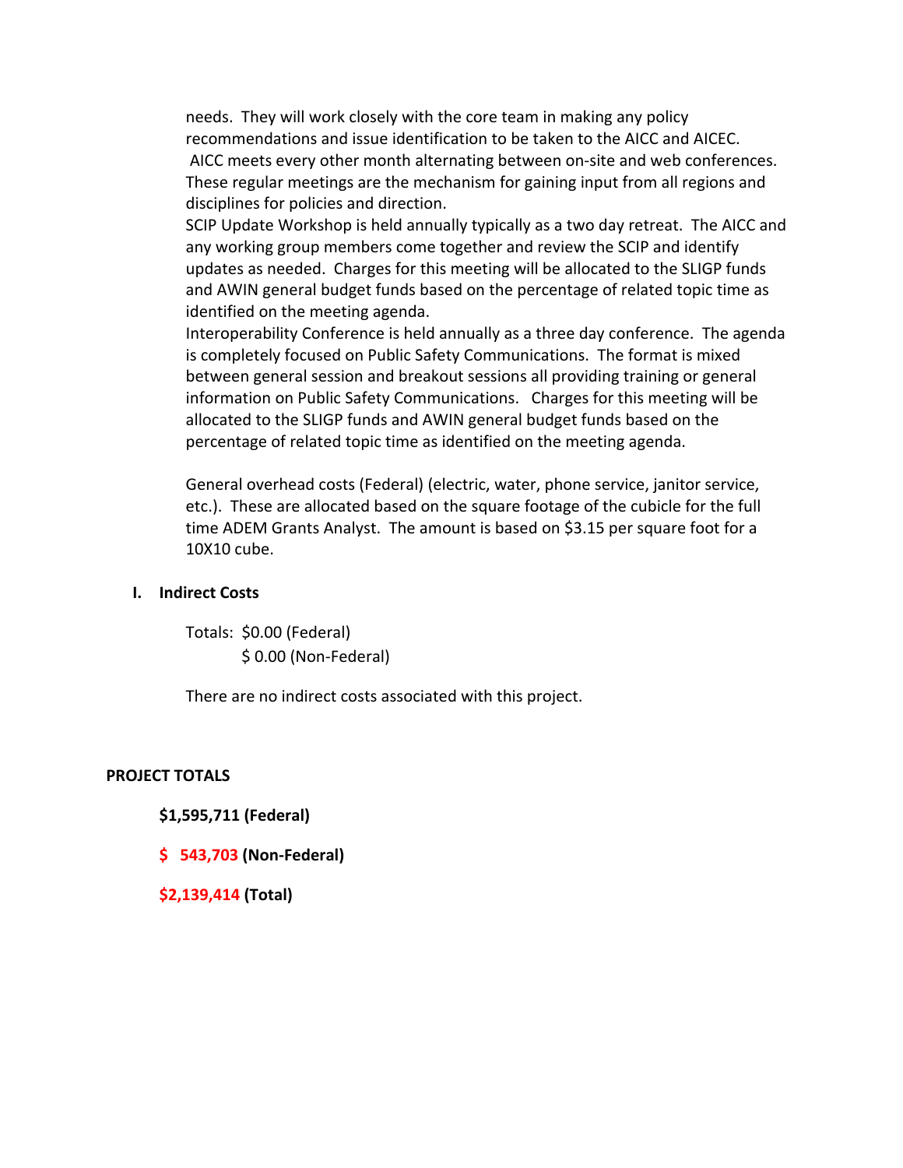needs. They will work closely with the core team in making any policy recommendations and issue identification to be taken to the AICC and AICEC. AICC meets every other month alternating between on‐site and web conferences. These regular meetings are the mechanism for gaining input from all regions and disciplines for policies and direction.

SCIP Update Workshop is held annually typically as a two day retreat. The AICC and any working group members come together and review the SCIP and identify updates as needed. Charges for this meeting will be allocated to the SLIGP funds and AWIN general budget funds based on the percentage of related topic time as identified on the meeting agenda.

Interoperability Conference is held annually as a three day conference. The agenda is completely focused on Public Safety Communications. The format is mixed between general session and breakout sessions all providing training or general information on Public Safety Communications. Charges for this meeting will be allocated to the SLIGP funds and AWIN general budget funds based on the percentage of related topic time as identified on the meeting agenda.

General overhead costs (Federal) (electric, water, phone service, janitor service, etc.). These are allocated based on the square footage of the cubicle for the full time ADEM Grants Analyst. The amount is based on \$3.15 per square foot for a 10X10 cube.

#### **I. Indirect Costs**

Totals: \$0.00 (Federal) \$ 0.00 (Non‐Federal)

There are no indirect costs associated with this project.

#### **PROJECT TOTALS**

#### **\$1,595,711 (Federal)**

#### **\$ 543,703 (Non‐Federal)**

**\$2,139,414 (Total)**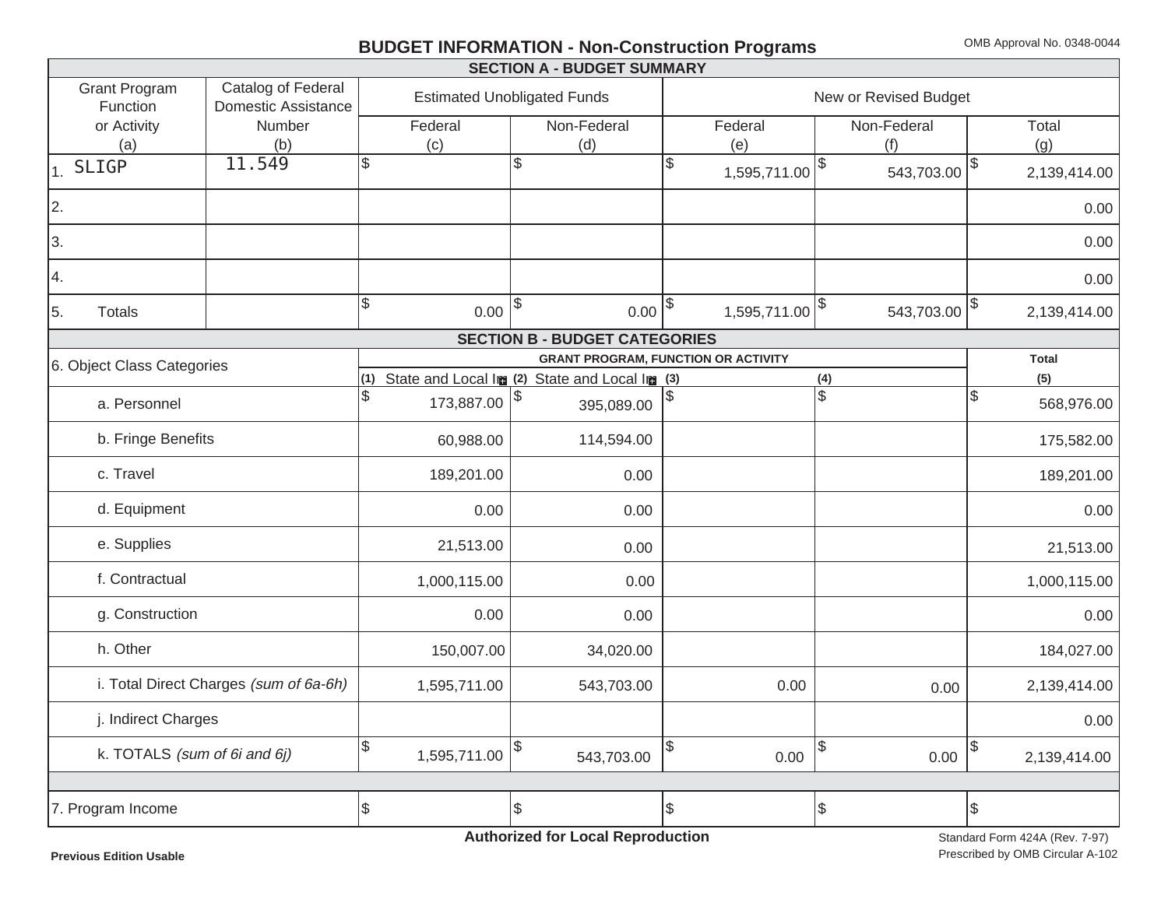## **BUDGET INFORMATION - Non-Construction Programs** OMB Approval No. 0348-0044

| <b>SECTION A - BUDGET SUMMARY</b><br><b>Grant Program</b> |                                                                 |                                                                                                |                                                                          |                                                                                                                                    |                                                                                                                    |  |  |  |  |  |  |  |  |
|-----------------------------------------------------------|-----------------------------------------------------------------|------------------------------------------------------------------------------------------------|--------------------------------------------------------------------------|------------------------------------------------------------------------------------------------------------------------------------|--------------------------------------------------------------------------------------------------------------------|--|--|--|--|--|--|--|--|
| Catalog of Federal                                        |                                                                 |                                                                                                |                                                                          |                                                                                                                                    |                                                                                                                    |  |  |  |  |  |  |  |  |
| Number                                                    | Federal                                                         | Non-Federal                                                                                    |                                                                          | Total                                                                                                                              |                                                                                                                    |  |  |  |  |  |  |  |  |
|                                                           |                                                                 |                                                                                                |                                                                          |                                                                                                                                    | (g)                                                                                                                |  |  |  |  |  |  |  |  |
| 11.549                                                    | \$                                                              |                                                                                                |                                                                          | $543,703.00$ $ $ <sup>\$</sup>                                                                                                     | 2,139,414.00                                                                                                       |  |  |  |  |  |  |  |  |
|                                                           |                                                                 |                                                                                                |                                                                          |                                                                                                                                    | 0.00                                                                                                               |  |  |  |  |  |  |  |  |
|                                                           |                                                                 |                                                                                                |                                                                          |                                                                                                                                    | 0.00                                                                                                               |  |  |  |  |  |  |  |  |
|                                                           |                                                                 |                                                                                                |                                                                          |                                                                                                                                    | 0.00                                                                                                               |  |  |  |  |  |  |  |  |
|                                                           | 0.00                                                            |                                                                                                |                                                                          | $543,703.00$ $ $ \$                                                                                                                | 2,139,414.00                                                                                                       |  |  |  |  |  |  |  |  |
| <b>SECTION B - BUDGET CATEGORIES</b>                      |                                                                 |                                                                                                |                                                                          |                                                                                                                                    |                                                                                                                    |  |  |  |  |  |  |  |  |
|                                                           |                                                                 |                                                                                                |                                                                          |                                                                                                                                    | <b>Total</b>                                                                                                       |  |  |  |  |  |  |  |  |
|                                                           |                                                                 |                                                                                                |                                                                          |                                                                                                                                    | (5)                                                                                                                |  |  |  |  |  |  |  |  |
|                                                           |                                                                 | 395,089.00                                                                                     |                                                                          |                                                                                                                                    | Ι\$<br>568,976.00                                                                                                  |  |  |  |  |  |  |  |  |
| b. Fringe Benefits                                        |                                                                 | 114,594.00                                                                                     |                                                                          |                                                                                                                                    | 175,582.00                                                                                                         |  |  |  |  |  |  |  |  |
| c. Travel                                                 |                                                                 | 0.00                                                                                           |                                                                          |                                                                                                                                    | 189,201.00                                                                                                         |  |  |  |  |  |  |  |  |
|                                                           | 0.00                                                            | 0.00                                                                                           |                                                                          |                                                                                                                                    | 0.00                                                                                                               |  |  |  |  |  |  |  |  |
|                                                           | 21,513.00                                                       | 0.00                                                                                           |                                                                          |                                                                                                                                    | 21,513.00                                                                                                          |  |  |  |  |  |  |  |  |
|                                                           | 1,000,115.00                                                    | 0.00                                                                                           |                                                                          |                                                                                                                                    | 1,000,115.00                                                                                                       |  |  |  |  |  |  |  |  |
|                                                           | 0.00                                                            | 0.00                                                                                           |                                                                          |                                                                                                                                    | 0.00                                                                                                               |  |  |  |  |  |  |  |  |
|                                                           | 150,007.00                                                      | 34,020.00                                                                                      |                                                                          |                                                                                                                                    | 184,027.00                                                                                                         |  |  |  |  |  |  |  |  |
| i. Total Direct Charges (sum of 6a-6h)                    | 1,595,711.00                                                    | 543,703.00                                                                                     | 0.00                                                                     | 0.00                                                                                                                               | 2,139,414.00                                                                                                       |  |  |  |  |  |  |  |  |
| j. Indirect Charges                                       |                                                                 |                                                                                                |                                                                          |                                                                                                                                    | 0.00                                                                                                               |  |  |  |  |  |  |  |  |
| k. TOTALS (sum of 6i and 6j)                              |                                                                 | $\$\$<br>543,703.00                                                                            | $\frac{1}{2}$<br>0.00                                                    | $\sqrt{3}$<br>0.00                                                                                                                 | \$<br>2,139,414.00                                                                                                 |  |  |  |  |  |  |  |  |
|                                                           |                                                                 |                                                                                                |                                                                          |                                                                                                                                    |                                                                                                                    |  |  |  |  |  |  |  |  |
|                                                           | $\boldsymbol{\theta}$                                           |                                                                                                | \$                                                                       | $\sqrt{3}$                                                                                                                         | \$                                                                                                                 |  |  |  |  |  |  |  |  |
|                                                           | <b>Domestic Assistance</b><br>(b)<br>6. Object Class Categories | (c)<br>$\mathcal{S}$<br>\$<br>60,988.00<br>189,201.00<br>$\boldsymbol{\theta}$<br>1,595,711.00 | <b>Estimated Unobligated Funds</b><br>(d)<br> \$<br>173,887.00 \$<br> \$ | Federal<br>(e)<br>$0.00$ $ $ \$<br><b>GRANT PROGRAM, FUNCTION OR ACTIVITY</b><br>(1) State and Local Im (2) State and Local Im (3) | New or Revised Budget<br>Non-Federal<br>(f)<br>1,595,711.00<br>$1,595,711.00$ <sup>\$</sup><br>(4)<br>$\mathbb{S}$ |  |  |  |  |  |  |  |  |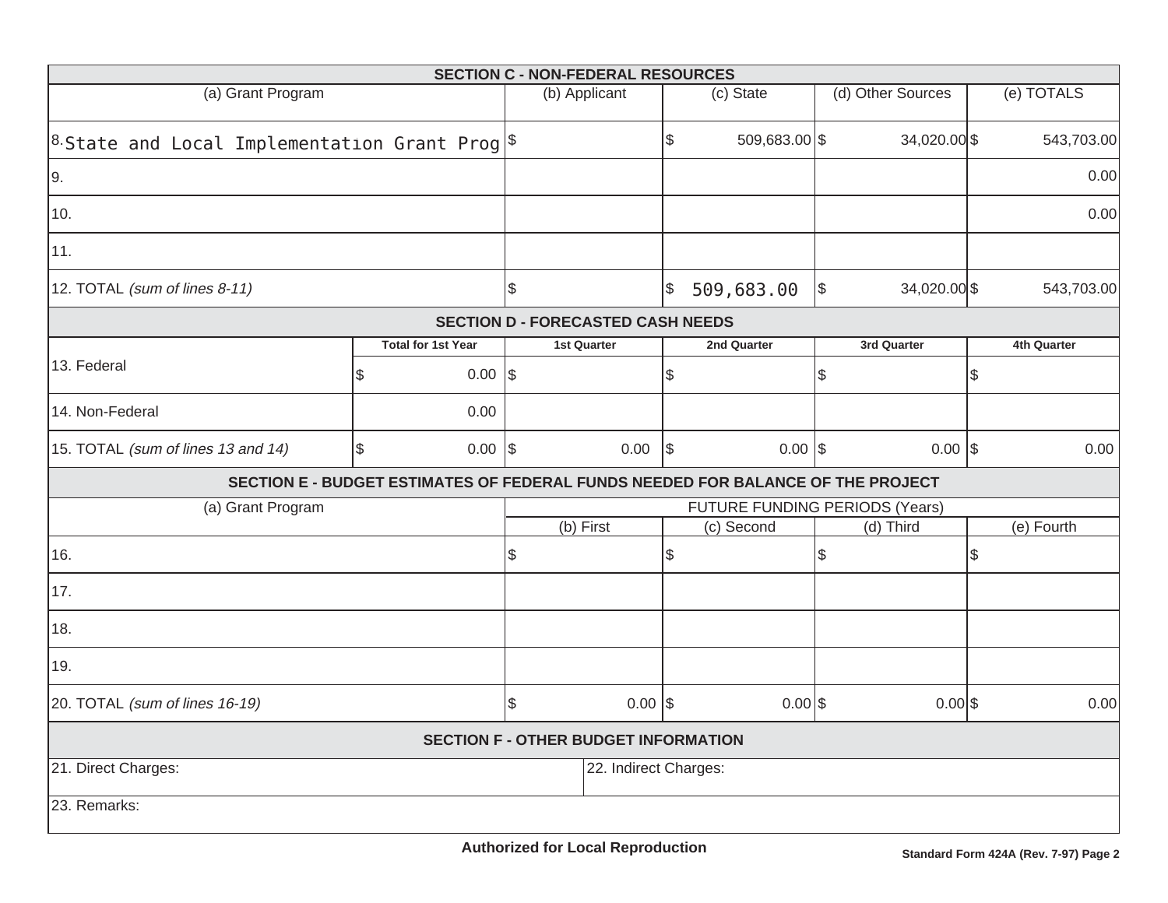|                                                                       |                  |                           | <b>SECTION C - NON-FEDERAL RESOURCES</b>    |            |                                                                                 |            |              |               |                    |  |
|-----------------------------------------------------------------------|------------------|---------------------------|---------------------------------------------|------------|---------------------------------------------------------------------------------|------------|--------------|---------------|--------------------|--|
| (a) Grant Program                                                     | (b) Applicant    |                           | (c) State                                   |            | (d) Other Sources                                                               |            | (e) TOTALS   |               |                    |  |
| <sup>8.</sup> State and Local Implementation Grant Prog $\frac{1}{3}$ |                  | \$                        | 509,683.00 \$                               |            | 34,020.00 \$                                                                    |            | 543,703.00   |               |                    |  |
| 9.                                                                    |                  |                           |                                             |            |                                                                                 |            |              |               | 0.00               |  |
| 10.                                                                   |                  |                           |                                             |            |                                                                                 |            |              |               | 0.00               |  |
| 11.                                                                   |                  |                           |                                             |            |                                                                                 |            |              |               |                    |  |
| 12. TOTAL (sum of lines 8-11)                                         |                  |                           | \$                                          | \$         | 509,683.00                                                                      | $\sqrt{3}$ | 34,020.00 \$ |               | 543,703.00         |  |
|                                                                       |                  |                           | <b>SECTION D - FORECASTED CASH NEEDS</b>    |            |                                                                                 |            |              |               |                    |  |
|                                                                       |                  | <b>Total for 1st Year</b> | 1st Quarter                                 |            | 2nd Quarter                                                                     |            | 3rd Quarter  |               | <b>4th Quarter</b> |  |
| 13. Federal                                                           | \$               | $0.00$ \\$                |                                             | \$         |                                                                                 | \$         |              | \$            |                    |  |
| 14. Non-Federal                                                       |                  | 0.00                      |                                             |            |                                                                                 |            |              |               |                    |  |
| 15. TOTAL (sum of lines 13 and 14)                                    | \$               | $0.00$ \$                 | 0.00                                        | $\sqrt{3}$ | $0.00$ \$                                                                       |            | $0.00$ \$    |               | 0.00               |  |
|                                                                       |                  |                           |                                             |            | SECTION E - BUDGET ESTIMATES OF FEDERAL FUNDS NEEDED FOR BALANCE OF THE PROJECT |            |              |               |                    |  |
| (a) Grant Program                                                     |                  |                           |                                             |            | FUTURE FUNDING PERIODS (Years)                                                  |            |              |               |                    |  |
|                                                                       |                  |                           | (b) First                                   |            | (c) Second                                                                      |            | (d) Third    |               | (e) Fourth         |  |
| 16.                                                                   |                  |                           | \$                                          | \$         |                                                                                 | \$         |              | $\mathcal{L}$ |                    |  |
| 17.                                                                   |                  |                           |                                             |            |                                                                                 |            |              |               |                    |  |
| 18.                                                                   |                  |                           |                                             |            |                                                                                 |            |              |               |                    |  |
| 19.                                                                   |                  |                           |                                             |            |                                                                                 |            |              |               |                    |  |
| 20. TOTAL (sum of lines 16-19)                                        | \$<br>$0.00$ \\$ |                           | $0.00$ \$                                   |            | $0.00$ \$                                                                       |            | 0.00         |               |                    |  |
|                                                                       |                  |                           | <b>SECTION F - OTHER BUDGET INFORMATION</b> |            |                                                                                 |            |              |               |                    |  |
| 21. Direct Charges:                                                   |                  | 22. Indirect Charges:     |                                             |            |                                                                                 |            |              |               |                    |  |
| 23. Remarks:                                                          |                  |                           |                                             |            |                                                                                 |            |              |               |                    |  |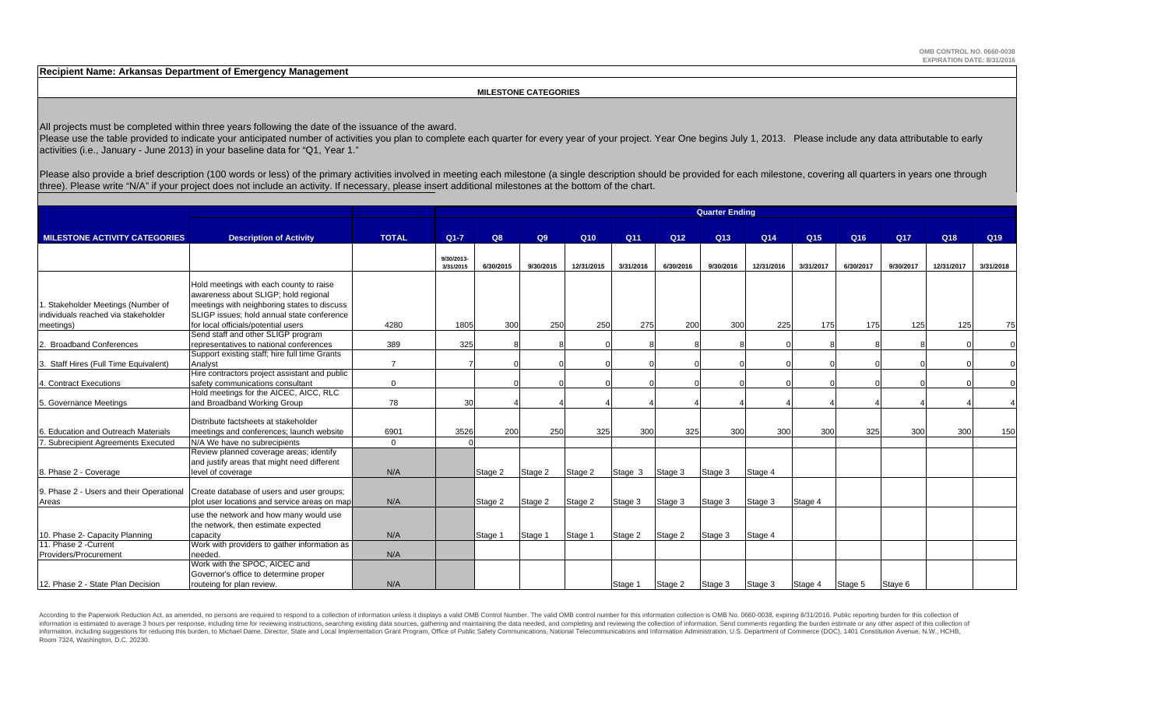**Recipient Name: Arkansas Department of Emergency Management**

 **MILESTONE CATEGORIES**

All projects must be completed within three years following the date of the issuance of the award.

Please use the table provided to indicate your anticipated number of activities you plan to complete each quarter for every year of your project. Year One begins July 1, 2013. Please include any data attributable to early activities (i.e., January - June 2013) in your baseline data for "Q1, Year 1."

Please also provide a brief description (100 words or less) of the primary activities involved in meeting each milestone (a single description should be provided for each milestone, covering all quarters in years one throu three). Please write "N/A" if your project does not include an activity. If necessary, please insert additional milestones at the bottom of the chart.

|                                                  | <b>Quarter Ending</b>                                                                                                              |                |                         |           |           |                 |           |                 |           |            |                 |           |           |            |                 |
|--------------------------------------------------|------------------------------------------------------------------------------------------------------------------------------------|----------------|-------------------------|-----------|-----------|-----------------|-----------|-----------------|-----------|------------|-----------------|-----------|-----------|------------|-----------------|
|                                                  |                                                                                                                                    |                |                         |           |           |                 |           |                 |           |            |                 |           |           |            |                 |
| <b>MILESTONE ACTIVITY CATEGORIES</b>             | <b>Description of Activity</b>                                                                                                     | <b>TOTAL</b>   | $Q1 - 7$                | Q8        | Q9        | Q <sub>10</sub> | Q11       | Q <sub>12</sub> | Q13       | Q14        | Q <sub>15</sub> | Q16       | Q17       | Q18        | Q <sub>19</sub> |
|                                                  |                                                                                                                                    |                | 9/30/2013-<br>3/31/2015 | 6/30/2015 | 9/30/2015 | 12/31/2015      | 3/31/2016 | 6/30/2016       | 9/30/2016 | 12/31/2016 | 3/31/2017       | 6/30/2017 | 9/30/2017 | 12/31/2017 | 3/31/2018       |
| . Stakeholder Meetings (Number of                | Hold meetings with each county to raise<br>awareness about SLIGP; hold regional<br>meetings with neighboring states to discuss     |                |                         |           |           |                 |           |                 |           |            |                 |           |           |            |                 |
| individuals reached via stakeholder<br>meetings) | SLIGP issues: hold annual state conference<br>for local officials/potential users                                                  | 4280           | 1805                    | 300       | 250       | 250             | 275       | 200             | 300       | 225        | 175             | 175       | 125       | 125        | 75              |
| 2. Broadband Conferences                         | Send staff and other SLIGP program<br>representatives to national conferences                                                      | 389            | 325                     |           |           |                 |           |                 |           |            |                 |           |           |            |                 |
| 3. Staff Hires (Full Time Equivalent)            | Support existing staff; hire full time Grants<br>Analvst                                                                           | $\overline{7}$ |                         |           |           |                 |           |                 |           |            |                 |           |           |            |                 |
| 4. Contract Executions                           | Hire contractors project assistant and public<br>safety communications consultant                                                  | $\Omega$       |                         |           |           |                 |           |                 |           |            |                 |           |           |            |                 |
| 5. Governance Meetings                           | Hold meetings for the AICEC, AICC, RLC<br>and Broadband Working Group                                                              | 78             | 30                      |           |           |                 |           |                 |           |            |                 |           |           |            |                 |
| 6. Education and Outreach Materials              | Distribute factsheets at stakeholder<br>meetings and conferences; launch website                                                   | 6901           | 3526                    | 200       | 250       | 325             | 300       | 325             | 300       | 300        | 300             | 325       | 300       | 300        | 150             |
| 7. Subrecipient Agreements Executed              | N/A We have no subrecipients                                                                                                       | $\Omega$       |                         |           |           |                 |           |                 |           |            |                 |           |           |            |                 |
| 8. Phase 2 - Coverage                            | Review planned coverage areas; identify<br>and justify areas that might need different<br>level of coverage                        | N/A            |                         | Stage 2   | Stage 2   | Stage 2         | Stage 3   | Stage 3         | Stage 3   | Stage 4    |                 |           |           |            |                 |
| Areas                                            | 9. Phase 2 - Users and their Operational Create database of users and user groups;<br>plot user locations and service areas on map | N/A            |                         | Stage 2   | Stage 2   | Stage 2         | Stage 3   | Stage 3         | Stage 3   | Stage 3    | Stage 4         |           |           |            |                 |
|                                                  | use the network and how many would use<br>the network, then estimate expected                                                      |                |                         |           |           |                 |           |                 |           |            |                 |           |           |            |                 |
| 10. Phase 2- Capacity Planning                   | capacity                                                                                                                           | N/A            |                         | Stage 1   | Stage 1   | Stage 1         | Stage 2   | Stage 2         | Stage 3   | Stage 4    |                 |           |           |            |                 |
| 11. Phase 2 - Current<br>Providers/Procurement   | Work with providers to gather information as<br>needed.                                                                            | N/A            |                         |           |           |                 |           |                 |           |            |                 |           |           |            |                 |
| 12. Phase 2 - State Plan Decision                | Work with the SPOC, AICEC and<br>Governor's office to determine proper<br>routeing for plan review.                                | N/A            |                         |           |           |                 | Stage 1   | Stage 2         | Stage 3   | Stage 3    | Stage 4         | Stage 5   | Staye 6   |            |                 |

According to the Paperwork Reduction Act, as amended, no persons are required to respond to a collection of information unless it displays a valid OMB Control Number. The valid OMB control number for this information colle information is estimated to average 3 hours per response, including time for reviewing instructions, searching existing data sources, gathering and maintaining the data needed, and completing and reviewing the collection o information, including suggestions for reducing this burden, to Michael Dame, Director, State and Local Implementation Grant Program, Office of Public Safety Communications, National Telecommunications and Information Admi Room 7324, Washington, D.C. 20230.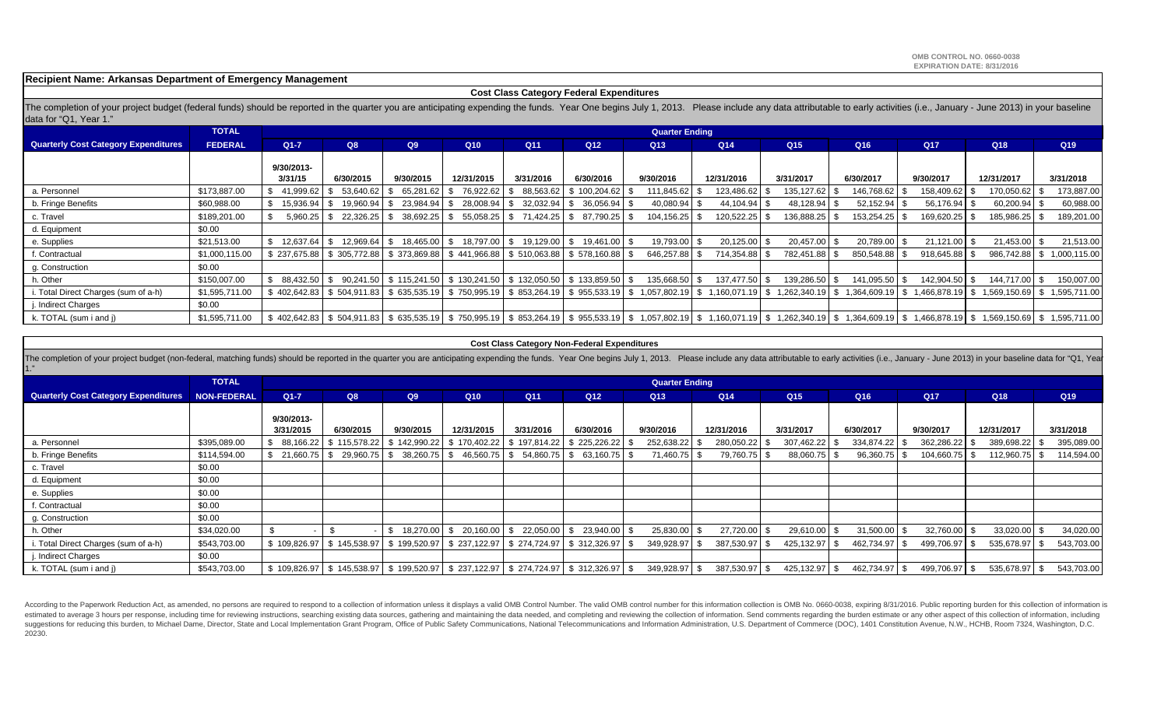**Recipient Name: Arkansas Department of Emergency Management**

#### **Cost Class Category Federal Expenditures**

The completion of your project budget (federal funds) should be reported in the quarter you are anticipating expending the funds. Year One begins July 1, 2013. Please include any data attributable to early activities (i.e. data for "Q1, Year 1."

|                                             | <b>TOTAL</b>   |                       | <b>Quarter Ending</b> |                                                                                     |              |                 |                   |                 |                 |                 |               |               |                                                                                                                                                                                                                             |                              |  |
|---------------------------------------------|----------------|-----------------------|-----------------------|-------------------------------------------------------------------------------------|--------------|-----------------|-------------------|-----------------|-----------------|-----------------|---------------|---------------|-----------------------------------------------------------------------------------------------------------------------------------------------------------------------------------------------------------------------------|------------------------------|--|
| <b>Quarterly Cost Category Expenditures</b> | <b>FEDERAL</b> | $Q1-7$                | Q8                    | Q9                                                                                  | Q10          | Q <sub>11</sub> | Q <sub>12</sub>   | Q <sub>13</sub> | Q <sub>14</sub> | Q <sub>15</sub> | Q16           | Q17           | Q18                                                                                                                                                                                                                         | Q <sub>19</sub>              |  |
|                                             |                | 9/30/2013-<br>3/31/15 | 6/30/2015             | 9/30/2015                                                                           | 12/31/2015   | 3/31/2016       | 6/30/2016         | 9/30/2016       | 12/31/2016      | 3/31/2017       | 6/30/2017     | 9/30/2017     | 12/31/2017                                                                                                                                                                                                                  | 3/31/2018                    |  |
| a. Personnel                                | \$173,887.00   | 41,999.62             | 53,640.62             | 65,281.62                                                                           | 76,922.62    | 88,563.62       | 100,204.62        | 111,845.62      | 123,486.62      | 135, 127.62     | 146,768.62    | 158,409.62    | 170,050.62                                                                                                                                                                                                                  | 173,887.00                   |  |
| b. Fringe Benefits                          | \$60,988.00    | 15,936.94             | 19,960.94             | 23.984.94                                                                           | 28,008.94    | 32,032.94       | 36,056.94         | 40,080.94       | 44,104.94       | 48,128.94       | 52,152.94     | 56,176.94     | 60,200.94                                                                                                                                                                                                                   | 60,988.00                    |  |
| c. Travel                                   | \$189,201.00   | 5.960.25              | 22,326.25             | 38,692.25 \$                                                                        | 55,058.25 \$ | 71,424.25       | 87,790.25         | 104,156.25      | 120,522.25      | 136,888.25      | 153,254.25    | 169,620.25    | 185,986.25                                                                                                                                                                                                                  | 189,201.00                   |  |
| d. Equipment                                | \$0.00         |                       |                       |                                                                                     |              |                 |                   |                 |                 |                 |               |               |                                                                                                                                                                                                                             |                              |  |
| e. Supplies                                 | \$21,513.00    | 12.637.64             | 12,969.64<br>- S      | 18,465.00 \$<br>l 35.                                                               | 18,797.00 \$ | 19,129.00       | 19,461.00<br>- \$ | 19,793.00 \$    | 20,125.00 \$    | 20,457.00       | 20,789.00     | 21,121.00     | 21,453.00 \$                                                                                                                                                                                                                | 21,513.00                    |  |
| f. Contractual                              | \$1,000,115.00 |                       |                       | \$ 237,675.88   \$ 305,772.88   \$ 373,869.88   \$ 441,966.88   \$ 510,063.88       |              |                 | \$578,160.88      | 646,257.88 \$   | 714,354.88      | 782,451.88      | 850,548.88    | 918,645.88    |                                                                                                                                                                                                                             | 986,742.88   \$ 1,000,115.00 |  |
| g. Construction                             | \$0.00         |                       |                       |                                                                                     |              |                 |                   |                 |                 |                 |               |               |                                                                                                                                                                                                                             |                              |  |
| h. Other                                    | \$150,007.00   | 88.432.50             | \$90,241.50           | $\frac{1}{2}$ \$ 115,241.50 $\frac{1}{2}$ \$ 130,241.50 $\frac{1}{2}$ \$ 132,050.50 |              |                 | \$133,859.50      | 135,668.50 \$   | 137.477.50 \$   | 139,286.50      | 141,095.50 \$ | 142,904.50 \$ | 144,717.00 \$                                                                                                                                                                                                               | 150,007.00                   |  |
| Total Direct Charges (sum of a-h)           | \$1,595,711.00 |                       |                       |                                                                                     |              |                 |                   |                 |                 |                 |               |               | \$ 402.642.83   \$ 504.911.83   \$ 635.535.19   \$ 750.995.19   \$ 853.264.19   \$ 955.533.19   \$ 1.057.802.19   \$ 1.160.071.19   \$ 1.262.340.19   \$ 1.364.609.19   \$ 1.466.878.19   \$ 1.569.150.69   \$ 1.595.711.00 |                              |  |
| I. Indirect Charges                         | \$0.00         |                       |                       |                                                                                     |              |                 |                   |                 |                 |                 |               |               |                                                                                                                                                                                                                             |                              |  |
| k. TOTAL (sum i and j)                      | \$1,595,711.00 |                       |                       |                                                                                     |              |                 |                   |                 |                 |                 |               |               | \$ 402,642.83   \$ 504,911.83   \$ 635,535.19   \$ 750,995.19   \$ 853,264.19   \$ 955,533.19   \$ 1,057,802.19   \$ 1,160,071.19   \$ 1,262,340.19   \$ 1,364,609.19   \$ 1,466,878.19   \$ 1,569,150.69   \$ 1,595,711.00 |                              |  |

**TOTALNON-FEDERAL Q1-7Quarterly Cost Category Expenditures Q8 Q9 Q10 Q11 Q12 Q13 Q14 Q15 Q16 Q17 Q18 Q19 9/30/2013-** 3/31/2015 3/31/2015 | 6/30/2015 | 9/30/2015 | 12/31/2015 | 3/31/2016 | 6/30/2016 | 9/30/2016 | 12/31/2016 | 3/31/2017 | 6/30/2017 | 9/30/2017 | 12/31/2017 | 3/31/2018 **Quarter Ending** The completion of your project budget (non-federal, matching funds) should be reported in the quarter you are anticipating expending the funds. Year One begins July 1, 2013. Please include any data attributable to early ac 1."

|                                   |              | <u>.</u>     | $v = v - v$ | $0.991 - 0.19$ | .                                                                             | ,,,,,,,,, | --------  | ,,,,,,,,,  | .             | ,,,,,,,,   | "''"''"''"''"''"''" | "''"''"''"''"''" | .          | "''"''"''"''"''"''" |
|-----------------------------------|--------------|--------------|-------------|----------------|-------------------------------------------------------------------------------|-----------|-----------|------------|---------------|------------|---------------------|------------------|------------|---------------------|
| a. Personnel                      | \$395,089.00 | 88.166.22    |             |                | $$115,578.22$ $$142,990.22$ $$170,402.22$ $$197,814.22$ $$225,226.22$         |           |           | 252,638.22 | 280,050.22 \$ | 307,462.22 | 334,874.22          | 362,286.22 \$    | 389,698.22 | 395,089.00          |
| b. Fringe Benefits                | \$114,594.00 | 21.660.75    |             |                | 29,960.75   \$ 38,260.75   \$ 46,560.75   \$ 54,860.75   \$ 63,160.75   \$    |           |           | 71,460.75  | 79,760.75 \$  | 88,060.75  | 96,360.75           | 104,660.75       | 112,960.75 | 114,594.00          |
| c. Travel                         | \$0.00       |              |             |                |                                                                               |           |           |            |               |            |                     |                  |            |                     |
| d. Equipment                      | \$0.00       |              |             |                |                                                                               |           |           |            |               |            |                     |                  |            |                     |
| e. Supplies                       | \$0.00       |              |             |                |                                                                               |           |           |            |               |            |                     |                  |            |                     |
| f. Contractual                    | \$0.00       |              |             |                |                                                                               |           |           |            |               |            |                     |                  |            |                     |
| q. Construction                   | \$0.00       |              |             |                |                                                                               |           |           |            |               |            |                     |                  |            |                     |
| ກ. Other                          | \$34,020.00  |              |             |                | 18,270.00 \$ 20,160.00 \$ 22,050.00 \$                                        |           | 23,940.00 | 25,830.00  | 27,720.00 \$  | 29.610.00  | 31,500.00           | 32,760.00 \$     | 33,020.00  | 34,020.00           |
| Total Direct Charges (sum of a-h) | \$543,703.00 | \$109,826.97 |             |                | $$145,538.97$ $$199,520.97$ $$237,122.97$ $$274,724.97$ $$312,326.97$         |           |           | 349,928.97 | 387,530.97 \$ | 425.132.97 | 462,734.97 \$       | 499,706.97       | 535,678.97 | 543,703.00          |
| . Indirect Charges                | \$0.00       |              |             |                |                                                                               |           |           |            |               |            |                     |                  |            |                     |
| k. TOTAL (sum i and j)            | \$543,703.00 | \$109,826.97 |             |                | \$145.538.97   \$199.520.97   \$237.122.97   \$274.724.97   \$312.326.97   \$ |           |           | 349,928.97 | 387,530.97 \$ | 425,132.97 | 462.734.97 \$       | 499,706.97       | 535,678.97 | 543,703.00          |

According to the Paperwork Reduction Act, as amended, no persons are required to respond to a collection of information unless it displays a valid OMB Control Number. The valid OMB control number for this information colle estimated to average 3 hours per response, including time for reviewing instructions, searching existing data sources, gathering and maintaining the data needed, and completing and reviewing the collection of information. suggestions for reducing this burden, to Michael Dame, Director, State and Local Implementation Grant Program, Office of Public Safety Communications, National Telecommunications and Information Administration, U.S. Depart 20230.